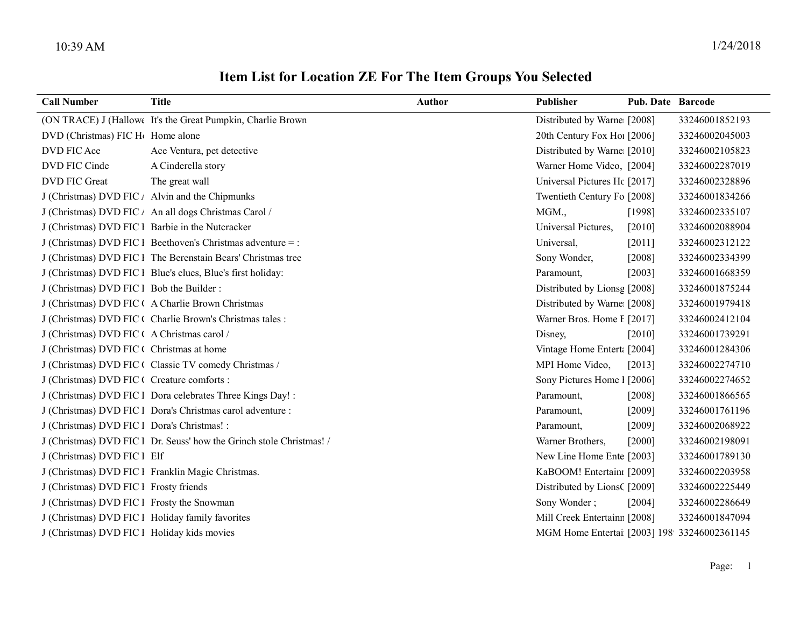| <b>Call Number</b>                               | <b>Title</b>                                                  | <b>Author</b> | <b>Publisher</b>             | <b>Pub. Date Barcode</b> |                |
|--------------------------------------------------|---------------------------------------------------------------|---------------|------------------------------|--------------------------|----------------|
|                                                  | (ON TRACE) J (Hallowe It's the Great Pumpkin, Charlie Brown   |               | Distributed by Warne: [2008] |                          | 33246001852193 |
| DVD (Christmas) FIC H <sub>(</sub> Home alone    |                                                               |               | 20th Century Fox Hol [2006]  |                          | 33246002045003 |
| DVD FIC Ace                                      | Ace Ventura, pet detective                                    |               | Distributed by Warne [2010]  |                          | 33246002105823 |
| DVD FIC Cinde                                    | A Cinderella story                                            |               | Warner Home Video, [2004]    |                          | 33246002287019 |
| <b>DVD FIC Great</b>                             | The great wall                                                |               | Universal Pictures Hc [2017] |                          | 33246002328896 |
|                                                  | J (Christmas) DVD FIC $\ell$ Alvin and the Chipmunks          |               | Twentieth Century Fo [2008]  |                          | 33246001834266 |
|                                                  | J (Christmas) DVD FIC / An all dogs Christmas Carol /         |               | MGM.,                        | [1998]                   | 33246002335107 |
| J (Christmas) DVD FIC 1 Barbie in the Nutcracker |                                                               |               | Universal Pictures,          | $[2010]$                 | 33246002088904 |
|                                                  | $J$ (Christmas) DVD FIC 1 Beethoven's Christmas adventure = : |               | Universal,                   | $[2011]$                 | 33246002312122 |
|                                                  | J (Christmas) DVD FIC 1 The Berenstain Bears' Christmas tree  |               | Sony Wonder,                 | $[2008]$                 | 33246002334399 |
|                                                  | J (Christmas) DVD FIC 1 Blue's clues, Blue's first holiday:   |               | Paramount,                   | [2003]                   | 33246001668359 |
| J (Christmas) DVD FIC 1 Bob the Builder:         |                                                               |               | Distributed by Lionsg [2008] |                          | 33246001875244 |
|                                                  | J (Christmas) DVD FIC ( A Charlie Brown Christmas             |               | Distributed by Warne: [2008] |                          | 33246001979418 |
|                                                  | J (Christmas) DVD FIC ( Charlie Brown's Christmas tales :     |               | Warner Bros. Home I [2017]   |                          | 33246002412104 |
| J (Christmas) DVD FIC (A Christmas carol /       |                                                               |               | Disney,                      | $[2010]$                 | 33246001739291 |
| J (Christmas) DVD FIC ( Christmas at home        |                                                               |               | Vintage Home Entert: [2004]  |                          | 33246001284306 |
|                                                  | J (Christmas) DVD FIC ( Classic TV comedy Christmas /         |               | MPI Home Video,              | [2013]                   | 33246002274710 |
| J (Christmas) DVD FIC ( Creature comforts :      |                                                               |               | Sony Pictures Home 1 [2006]  |                          | 33246002274652 |
|                                                  | J (Christmas) DVD FIC 1 Dora celebrates Three Kings Day! :    |               | Paramount,                   | $[2008]$                 | 33246001866565 |
|                                                  | J (Christmas) DVD FIC l Dora's Christmas carol adventure :    |               | Paramount,                   | [2009]                   | 33246001761196 |
| J (Christmas) DVD FIC 1 Dora's Christmas! :      |                                                               |               | Paramount,                   | [2009]                   | 33246002068922 |

J (Christmas) DVD FIC 1 Dr. Seuss' how the Grinch stole Christmas! / Warner Brothers, [2000] 33246002198091

## Item List for Location ZE For The Item Groups You Selected

J (Christmas) DVD FIC 1 Elf New Line Home Entertainment (2003) 33246001789130

- J (Christmas) DVD FIC I Franklin Magic Christmas. KaBOOM! Entertainment : [2009] 33246002203958
- J (Christmas) DVD FIC I Frosty friends Distributed by LionsC [2009] 33246002225449
- J (Christmas) DVD FIC I Frosty the Snowman Sony Wonder; [2004] 33246002286649
- J (Christmas) DVD FIC 1 Holiday family favorites Mill Creek Entertainment, 12008] 33246001847094
- J (Christmas) DVD FIC 1 Holiday kids movies MGM Home Entertainment (2003) 1989 33246002361145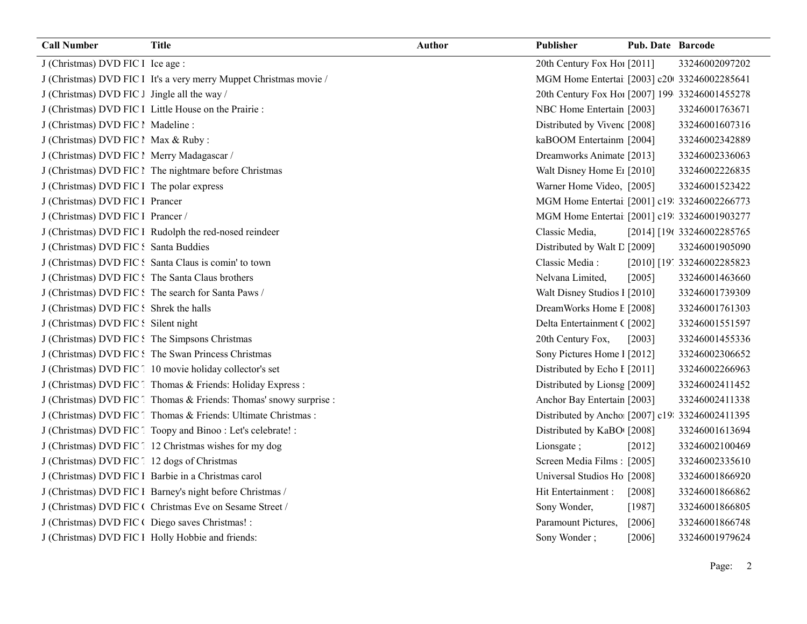| <b>Call Number</b>                               | <b>Title</b>                                                       | <b>Author</b> | Publisher                                       | Pub. Date Barcode |                            |
|--------------------------------------------------|--------------------------------------------------------------------|---------------|-------------------------------------------------|-------------------|----------------------------|
| J (Christmas) DVD FIC 1 Ice age :                |                                                                    |               | 20th Century Fox Ho! [2011]                     |                   | 33246002097202             |
|                                                  | J (Christmas) DVD FIC 1 It's a very merry Muppet Christmas movie / |               | MGM Home Entertai [2003] c20 33246002285641     |                   |                            |
| J (Christmas) DVD FIC J Jingle all the way /     |                                                                    |               | 20th Century Fox Ho! [2007] 199 33246001455278  |                   |                            |
|                                                  | J (Christmas) DVD FIC 1 Little House on the Prairie :              |               | NBC Home Entertain [2003]                       |                   | 33246001763671             |
| J (Christmas) DVD FIC 1 Madeline :               |                                                                    |               | Distributed by Vivenc [2008]                    |                   | 33246001607316             |
| J (Christmas) DVD FIC ! Max & Ruby :             |                                                                    |               | kaBOOM Entertainm [2004]                        |                   | 33246002342889             |
| J (Christmas) DVD FIC 1 Merry Madagascar /       |                                                                    |               | Dreamworks Animate [2013]                       |                   | 33246002336063             |
|                                                  | J (Christmas) DVD FIC 1 The nightmare before Christmas             |               | Walt Disney Home E1 [2010]                      |                   | 33246002226835             |
| J (Christmas) DVD FIC 1 The polar express        |                                                                    |               | Warner Home Video, [2005]                       |                   | 33246001523422             |
| J (Christmas) DVD FIC 1 Prancer                  |                                                                    |               | MGM Home Entertai [2001] c19: 33246002266773    |                   |                            |
| J (Christmas) DVD FIC 1 Prancer /                |                                                                    |               | MGM Home Entertai [2001] c19: 33246001903277    |                   |                            |
|                                                  | J (Christmas) DVD FIC l Rudolph the red-nosed reindeer             |               | Classic Media,                                  |                   | [2014] [196 33246002285765 |
| J (Christmas) DVD FIC: Santa Buddies             |                                                                    |               | Distributed by Walt L [2009]                    |                   | 33246001905090             |
|                                                  | J (Christmas) DVD FIC: Santa Claus is comin' to town               |               | Classic Media:                                  |                   | [2010] [19] 33246002285823 |
|                                                  | J (Christmas) DVD FIC : The Santa Claus brothers                   |               | Nelvana Limited,                                | [2005]            | 33246001463660             |
|                                                  | J (Christmas) DVD FIC: The search for Santa Paws /                 |               | Walt Disney Studios I [2010]                    |                   | 33246001739309             |
| J (Christmas) DVD FIC: Shrek the halls           |                                                                    |               | DreamWorks Home E [2008]                        |                   | 33246001761303             |
| J (Christmas) DVD FIC : Silent night             |                                                                    |               | Delta Entertainment ([2002]                     |                   | 33246001551597             |
| J (Christmas) DVD FIC: The Simpsons Christmas    |                                                                    |               | 20th Century Fox,                               | [2003]            | 33246001455336             |
|                                                  | J (Christmas) DVD FIC: The Swan Princess Christmas                 |               | Sony Pictures Home 1 [2012]                     |                   | 33246002306652             |
|                                                  | J (Christmas) DVD FIC [10 movie holiday collector's set            |               | Distributed by Echo I [2011]                    |                   | 33246002266963             |
|                                                  | J (Christmas) DVD FIC Thomas & Friends: Holiday Express :          |               | Distributed by Lionsg [2009]                    |                   | 33246002411452             |
|                                                  | J (Christmas) DVD FIC Thomas & Friends: Thomas' snowy surprise :   |               | Anchor Bay Entertain [2003]                     |                   | 33246002411338             |
|                                                  | J (Christmas) DVD FIC [ Thomas & Friends: Ultimate Christmas :     |               | Distributed by Ancho [2007] c19: 33246002411395 |                   |                            |
|                                                  | J (Christmas) DVD FIC [ Toopy and Binoo : Let's celebrate! :       |               | Distributed by KaBO [2008]                      |                   | 33246001613694             |
|                                                  | J (Christmas) DVD FIC [12 Christmas wishes for my dog              |               | Lionsgate;                                      | [2012]            | 33246002100469             |
| J (Christmas) DVD FIC [ 12 dogs of Christmas     |                                                                    |               | Screen Media Films: [2005]                      |                   | 33246002335610             |
|                                                  | J (Christmas) DVD FIC 1 Barbie in a Christmas carol                |               | Universal Studios Ho [2008]                     |                   | 33246001866920             |
|                                                  | J (Christmas) DVD FIC l Barney's night before Christmas /          |               | Hit Entertainment :                             | $[2008]$          | 33246001866862             |
|                                                  | J (Christmas) DVD FIC ( Christmas Eve on Sesame Street /           |               | Sony Wonder,                                    | [1987]            | 33246001866805             |
| J (Christmas) DVD FIC ( Diego saves Christmas! : |                                                                    |               | Paramount Pictures,                             | [2006]            | 33246001866748             |
|                                                  | J (Christmas) DVD FIC 1 Holly Hobbie and friends:                  |               | Sony Wonder;                                    | [2006]            | 33246001979624             |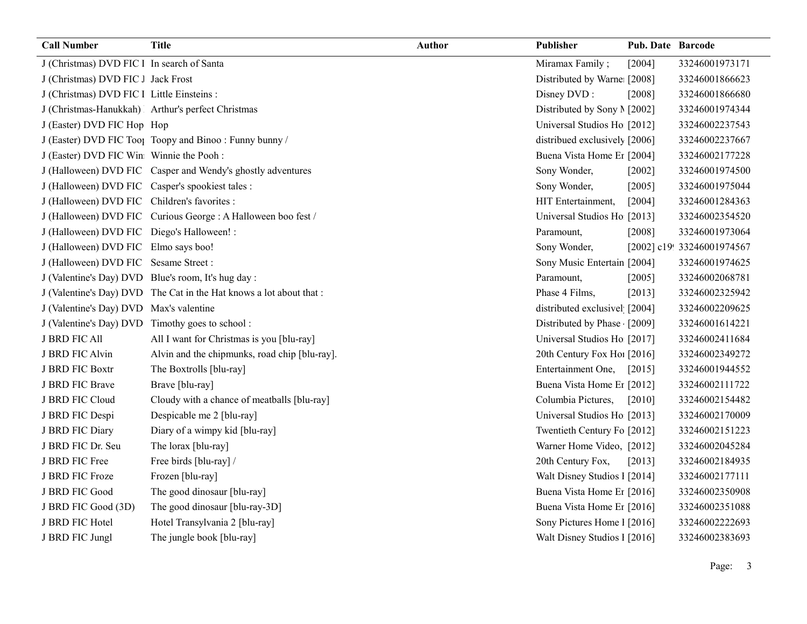| <b>Call Number</b>                           | <b>Title</b>                                                        | <b>Author</b> | Publisher                     | <b>Pub. Date Barcode</b> |                            |
|----------------------------------------------|---------------------------------------------------------------------|---------------|-------------------------------|--------------------------|----------------------------|
| J (Christmas) DVD FIC 1 In search of Santa   |                                                                     |               | Miramax Family;               | [2004]                   | 33246001973171             |
| J (Christmas) DVD FIC J Jack Frost           |                                                                     |               | Distributed by Warne [2008]   |                          | 33246001866623             |
| J (Christmas) DVD FIC 1 Little Einsteins :   |                                                                     |               | Disney DVD:                   | [2008]                   | 33246001866680             |
|                                              | J (Christmas-Hanukkah) Arthur's perfect Christmas                   |               | Distributed by Sony M [2002]  |                          | 33246001974344             |
| J (Easter) DVD FIC Hop Hop                   |                                                                     |               | Universal Studios Ho [2012]   |                          | 33246002237543             |
|                                              | J (Easter) DVD FIC Tool Toopy and Binoo: Funny bunny /              |               | distribued exclusively [2006] |                          | 33246002237667             |
| J (Easter) DVD FIC Win Winnie the Pooh :     |                                                                     |               | Buena Vista Home Er [2004]    |                          | 33246002177228             |
|                                              | J (Halloween) DVD FIC Casper and Wendy's ghostly adventures         |               | Sony Wonder,                  | $[2002]$                 | 33246001974500             |
|                                              | J (Halloween) DVD FIC Casper's spookiest tales :                    |               | Sony Wonder,                  | [2005]                   | 33246001975044             |
| J (Halloween) DVD FIC Children's favorites : |                                                                     |               | HIT Entertainment,            | [2004]                   | 33246001284363             |
|                                              | J (Halloween) DVD FIC Curious George : A Halloween boo fest /       |               | Universal Studios Ho [2013]   |                          | 33246002354520             |
| J (Halloween) DVD FIC Diego's Halloween! :   |                                                                     |               | Paramount,                    | [2008]                   | 33246001973064             |
| J (Halloween) DVD FIC Elmo says boo!         |                                                                     |               | Sony Wonder,                  |                          | [2002] c19! 33246001974567 |
| J (Halloween) DVD FIC Sesame Street:         |                                                                     |               | Sony Music Entertain [2004]   |                          | 33246001974625             |
|                                              | J (Valentine's Day) DVD Blue's room, It's hug day :                 |               | Paramount,                    | [2005]                   | 33246002068781             |
|                                              | J (Valentine's Day) DVD The Cat in the Hat knows a lot about that : |               | Phase 4 Films,                | [2013]                   | 33246002325942             |
| J (Valentine's Day) DVD Max's valentine      |                                                                     |               | distributed exclusivel [2004] |                          | 33246002209625             |
|                                              | J (Valentine's Day) DVD Timothy goes to school :                    |               | Distributed by Phase [2009]   |                          | 33246001614221             |
| <b>J BRD FIC All</b>                         | All I want for Christmas is you [blu-ray]                           |               | Universal Studios Ho [2017]   |                          | 33246002411684             |
| J BRD FIC Alvin                              | Alvin and the chipmunks, road chip [blu-ray].                       |               | 20th Century Fox Ho! [2016]   |                          | 33246002349272             |
| J BRD FIC Boxtr                              | The Boxtrolls [blu-ray]                                             |               | Entertainment One,            | $[2015]$                 | 33246001944552             |
| J BRD FIC Brave                              | Brave [blu-ray]                                                     |               | Buena Vista Home Er [2012]    |                          | 33246002111722             |
| J BRD FIC Cloud                              | Cloudy with a chance of meatballs [blu-ray]                         |               | Columbia Pictures,            | $[2010]$                 | 33246002154482             |
| J BRD FIC Despi                              | Despicable me 2 [blu-ray]                                           |               | Universal Studios Ho [2013]   |                          | 33246002170009             |
| J BRD FIC Diary                              | Diary of a wimpy kid [blu-ray]                                      |               | Twentieth Century Fo [2012]   |                          | 33246002151223             |
| J BRD FIC Dr. Seu                            | The lorax [blu-ray]                                                 |               | Warner Home Video, [2012]     |                          | 33246002045284             |
| J BRD FIC Free                               | Free birds [blu-ray] /                                              |               | 20th Century Fox,             | [2013]                   | 33246002184935             |
| J BRD FIC Froze                              | Frozen [blu-ray]                                                    |               | Walt Disney Studios 1 [2014]  |                          | 33246002177111             |
| J BRD FIC Good                               | The good dinosaur [blu-ray]                                         |               | Buena Vista Home Er [2016]    |                          | 33246002350908             |
| J BRD FIC Good (3D)                          | The good dinosaur [blu-ray-3D]                                      |               | Buena Vista Home Er [2016]    |                          | 33246002351088             |
| J BRD FIC Hotel                              | Hotel Transylvania 2 [blu-ray]                                      |               | Sony Pictures Home 1 [2016]   |                          | 33246002222693             |
| J BRD FIC Jungl                              | The jungle book [blu-ray]                                           |               | Walt Disney Studios 1 [2016]  |                          | 33246002383693             |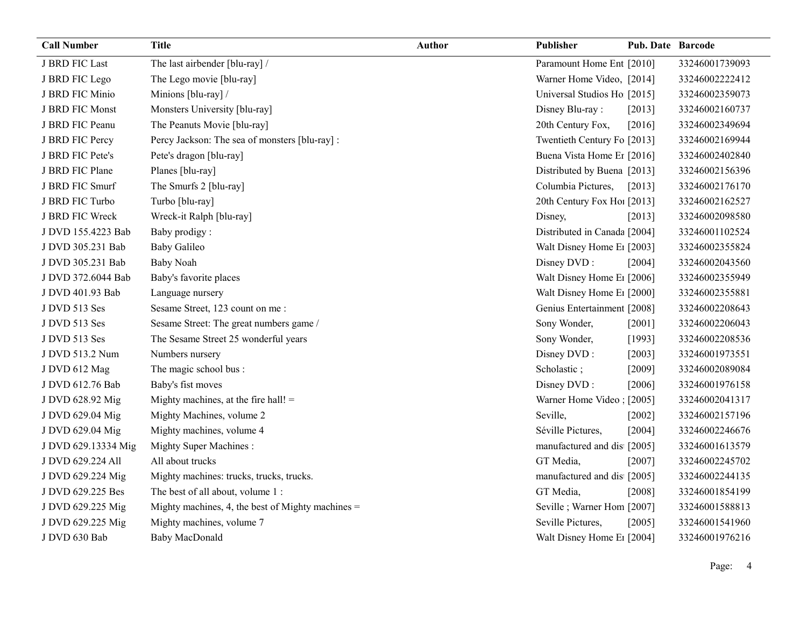| <b>Call Number</b>  | <b>Title</b>                                        | Author | Publisher                              | <b>Pub. Date Barcode</b> |                |
|---------------------|-----------------------------------------------------|--------|----------------------------------------|--------------------------|----------------|
| J BRD FIC Last      | The last airbender [blu-ray] /                      |        | Paramount Home Ent [2010]              |                          | 33246001739093 |
| J BRD FIC Lego      | The Lego movie [blu-ray]                            |        | Warner Home Video, [2014]              |                          | 33246002222412 |
| J BRD FIC Minio     | Minions [blu-ray] /                                 |        | Universal Studios Ho [2015]            |                          | 33246002359073 |
| J BRD FIC Monst     | Monsters University [blu-ray]                       |        | Disney Blu-ray:                        | [2013]                   | 33246002160737 |
| J BRD FIC Peanu     | The Peanuts Movie [blu-ray]                         |        | 20th Century Fox,                      | [2016]                   | 33246002349694 |
| J BRD FIC Percy     | Percy Jackson: The sea of monsters [blu-ray] :      |        | Twentieth Century Fo [2013]            |                          | 33246002169944 |
| J BRD FIC Pete's    | Pete's dragon [blu-ray]                             |        | Buena Vista Home Er [2016]             |                          | 33246002402840 |
| J BRD FIC Plane     | Planes [blu-ray]                                    |        | Distributed by Buena [2013]            |                          | 33246002156396 |
| J BRD FIC Smurf     | The Smurfs 2 [blu-ray]                              |        | Columbia Pictures,                     | $[2013]$                 | 33246002176170 |
| J BRD FIC Turbo     | Turbo [blu-ray]                                     |        | 20th Century Fox Ho! [2013]            |                          | 33246002162527 |
| J BRD FIC Wreck     | Wreck-it Ralph [blu-ray]                            |        | Disney,                                | $[2013]$                 | 33246002098580 |
| J DVD 155.4223 Bab  | Baby prodigy:                                       |        | Distributed in Canada [2004]           |                          | 33246001102524 |
| J DVD 305.231 Bab   | <b>Baby Galileo</b>                                 |        | Walt Disney Home E <sub>1</sub> [2003] |                          | 33246002355824 |
| J DVD 305.231 Bab   | <b>Baby Noah</b>                                    |        | Disney DVD:                            | [2004]                   | 33246002043560 |
| J DVD 372.6044 Bab  | Baby's favorite places                              |        | Walt Disney Home E1 [2006]             |                          | 33246002355949 |
| J DVD 401.93 Bab    | Language nursery                                    |        | Walt Disney Home E1 [2000]             |                          | 33246002355881 |
| J DVD 513 Ses       | Sesame Street, 123 count on me :                    |        | Genius Entertainment [2008]            |                          | 33246002208643 |
| J DVD 513 Ses       | Sesame Street: The great numbers game /             |        | Sony Wonder,                           | $[2001]$                 | 33246002206043 |
| J DVD 513 Ses       | The Sesame Street 25 wonderful years                |        | Sony Wonder,                           | [1993]                   | 33246002208536 |
| J DVD 513.2 Num     | Numbers nursery                                     |        | Disney DVD:                            | $[2003]$                 | 33246001973551 |
| J DVD 612 Mag       | The magic school bus :                              |        | Scholastic;                            | $[2009]$                 | 33246002089084 |
| J DVD 612.76 Bab    | Baby's fist moves                                   |        | Disney DVD:                            | [2006]                   | 33246001976158 |
| J DVD 628.92 Mig    | Mighty machines, at the fire hall! =                |        | Warner Home Video: [2005]              |                          | 33246002041317 |
| J DVD 629.04 Mig    | Mighty Machines, volume 2                           |        | Seville,                               | $[2002]$                 | 33246002157196 |
| J DVD 629.04 Mig    | Mighty machines, volume 4                           |        | Séville Pictures,                      | [2004]                   | 33246002246676 |
| J DVD 629.13334 Mig | <b>Mighty Super Machines:</b>                       |        | manufactured and dis [2005]            |                          | 33246001613579 |
| J DVD 629.224 All   | All about trucks                                    |        | GT Media,                              | $[2007]$                 | 33246002245702 |
| J DVD 629.224 Mig   | Mighty machines: trucks, trucks, trucks.            |        | manufactured and dis [2005]            |                          | 33246002244135 |
| J DVD 629.225 Bes   | The best of all about, volume 1:                    |        | GT Media,                              | $[2008]$                 | 33246001854199 |
| J DVD 629.225 Mig   | Mighty machines, 4, the best of Mighty machines $=$ |        | Seville; Warner Hom [2007]             |                          | 33246001588813 |
| J DVD 629.225 Mig   | Mighty machines, volume 7                           |        | Seville Pictures,                      | [2005]                   | 33246001541960 |
| J DVD 630 Bab       | Baby MacDonald                                      |        | Walt Disney Home E1 [2004]             |                          | 33246001976216 |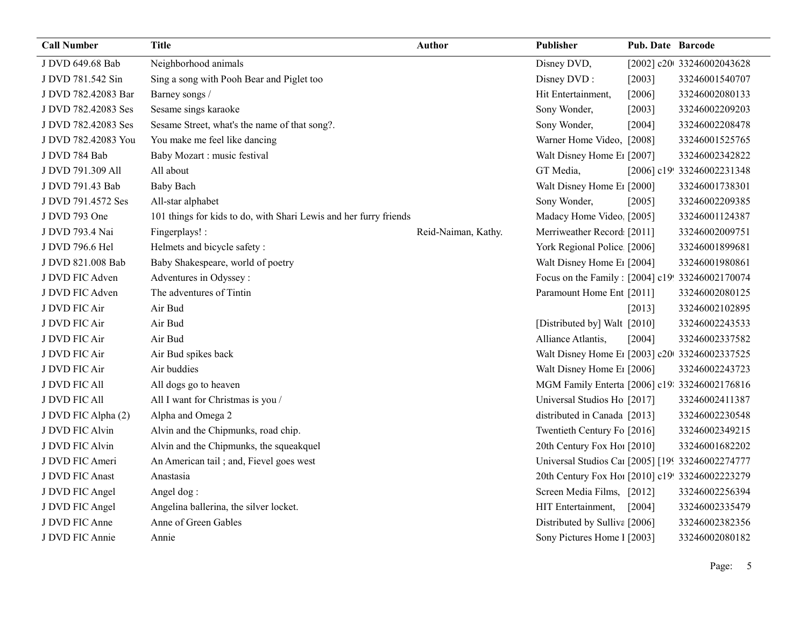| <b>Call Number</b>  | Title                                                             | <b>Author</b>       | Publisher                                        | <b>Pub. Date Barcode</b> |                            |
|---------------------|-------------------------------------------------------------------|---------------------|--------------------------------------------------|--------------------------|----------------------------|
| J DVD 649.68 Bab    | Neighborhood animals                                              |                     | Disney DVD,                                      |                          | [2002] c20t 33246002043628 |
| J DVD 781.542 Sin   | Sing a song with Pooh Bear and Piglet too                         |                     | Disney DVD:                                      | [2003]                   | 33246001540707             |
| J DVD 782.42083 Bar | Barney songs /                                                    |                     | Hit Entertainment,                               | [2006]                   | 33246002080133             |
| J DVD 782.42083 Ses | Sesame sings karaoke                                              |                     | Sony Wonder,                                     | [2003]                   | 33246002209203             |
| J DVD 782.42083 Ses | Sesame Street, what's the name of that song?.                     |                     | Sony Wonder,                                     | [2004]                   | 33246002208478             |
| J DVD 782.42083 You | You make me feel like dancing                                     |                     | Warner Home Video, [2008]                        |                          | 33246001525765             |
| J DVD 784 Bab       | Baby Mozart : music festival                                      |                     | Walt Disney Home E1 [2007]                       |                          | 33246002342822             |
| J DVD 791.309 All   | All about                                                         |                     | GT Media,                                        |                          | [2006] c19! 33246002231348 |
| J DVD 791.43 Bab    | <b>Baby Bach</b>                                                  |                     | Walt Disney Home E <sub>1</sub> [2000]           |                          | 33246001738301             |
| J DVD 791.4572 Ses  | All-star alphabet                                                 |                     | Sony Wonder,                                     | [2005]                   | 33246002209385             |
| J DVD 793 One       | 101 things for kids to do, with Shari Lewis and her furry friends |                     | Madacy Home Video [2005]                         |                          | 33246001124387             |
| J DVD 793.4 Nai     | Fingerplays! :                                                    | Reid-Naiman, Kathy. | Merriweather Record [2011]                       |                          | 33246002009751             |
| J DVD 796.6 Hel     | Helmets and bicycle safety:                                       |                     | York Regional Police [2006]                      |                          | 33246001899681             |
| J DVD 821.008 Bab   | Baby Shakespeare, world of poetry                                 |                     | Walt Disney Home E1 [2004]                       |                          | 33246001980861             |
| J DVD FIC Adven     | Adventures in Odyssey:                                            |                     | Focus on the Family: [2004] c19! 33246002170074  |                          |                            |
| J DVD FIC Adven     | The adventures of Tintin                                          |                     | Paramount Home Ent [2011]                        |                          | 33246002080125             |
| J DVD FIC Air       | Air Bud                                                           |                     |                                                  | [2013]                   | 33246002102895             |
| J DVD FIC Air       | Air Bud                                                           |                     | [Distributed by] Walt [2010]                     |                          | 33246002243533             |
| J DVD FIC Air       | Air Bud                                                           |                     | Alliance Atlantis,                               | [2004]                   | 33246002337582             |
| J DVD FIC Air       | Air Bud spikes back                                               |                     | Walt Disney Home E1 [2003] c20 33246002337525    |                          |                            |
| J DVD FIC Air       | Air buddies                                                       |                     | Walt Disney Home E1 [2006]                       |                          | 33246002243723             |
| J DVD FIC All       | All dogs go to heaven                                             |                     | MGM Family Enterta [2006] c19: 33246002176816    |                          |                            |
| J DVD FIC All       | All I want for Christmas is you /                                 |                     | Universal Studios Ho [2017]                      |                          | 33246002411387             |
| J DVD FIC Alpha (2) | Alpha and Omega 2                                                 |                     | distributed in Canada [2013]                     |                          | 33246002230548             |
| J DVD FIC Alvin     | Alvin and the Chipmunks, road chip.                               |                     | Twentieth Century Fo [2016]                      |                          | 33246002349215             |
| J DVD FIC Alvin     | Alvin and the Chipmunks, the squeakquel                           |                     | 20th Century Fox Ho! [2010]                      |                          | 33246001682202             |
| J DVD FIC Ameri     | An American tail ; and, Fievel goes west                          |                     | Universal Studios Car [2005] [199 33246002274777 |                          |                            |
| J DVD FIC Anast     | Anastasia                                                         |                     | 20th Century Fox Ho! [2010] c19! 33246002223279  |                          |                            |
| J DVD FIC Angel     | Angel dog:                                                        |                     | Screen Media Films, [2012]                       |                          | 33246002256394             |
| J DVD FIC Angel     | Angelina ballerina, the silver locket.                            |                     | HIT Entertainment,                               | [2004]                   | 33246002335479             |
| J DVD FIC Anne      | Anne of Green Gables                                              |                     | Distributed by Sulliva [2006]                    |                          | 33246002382356             |
| J DVD FIC Annie     | Annie                                                             |                     | Sony Pictures Home 1 [2003]                      |                          | 33246002080182             |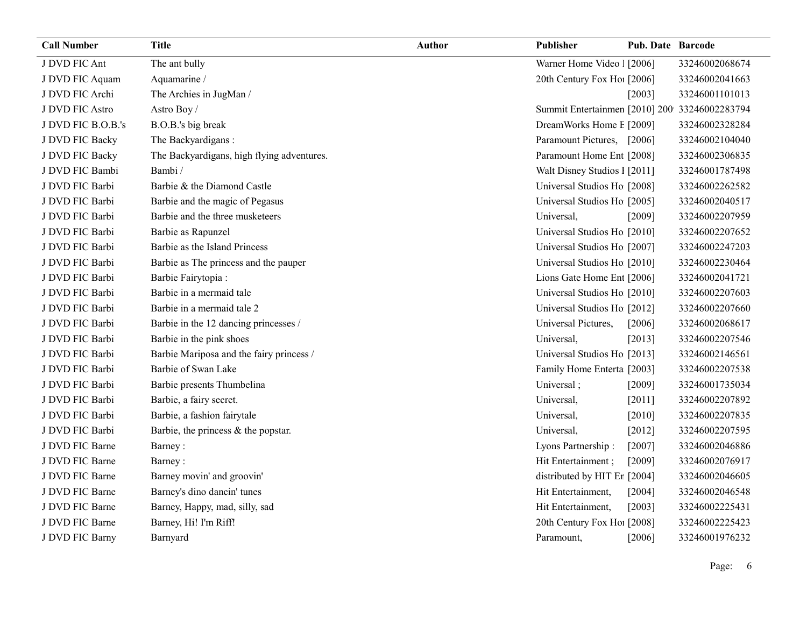| <b>Call Number</b> | <b>Title</b>                               | Author | <b>Publisher</b>                              | <b>Pub. Date Barcode</b> |                |
|--------------------|--------------------------------------------|--------|-----------------------------------------------|--------------------------|----------------|
| J DVD FIC Ant      | The ant bully                              |        | Warner Home Video 1 [2006]                    |                          | 33246002068674 |
| J DVD FIC Aquam    | Aquamarine /                               |        | 20th Century Fox Ho! [2006]                   |                          | 33246002041663 |
| J DVD FIC Archi    | The Archies in JugMan /                    |        |                                               | [2003]                   | 33246001101013 |
| J DVD FIC Astro    | Astro Boy/                                 |        | Summit Entertainmen [2010] 200 33246002283794 |                          |                |
| J DVD FIC B.O.B.'s | B.O.B.'s big break                         |        | DreamWorks Home E [2009]                      |                          | 33246002328284 |
| J DVD FIC Backy    | The Backyardigans:                         |        | Paramount Pictures, [2006]                    |                          | 33246002104040 |
| J DVD FIC Backy    | The Backyardigans, high flying adventures. |        | Paramount Home Ent [2008]                     |                          | 33246002306835 |
| J DVD FIC Bambi    | Bambi/                                     |        | Walt Disney Studios 1 [2011]                  |                          | 33246001787498 |
| J DVD FIC Barbi    | Barbie & the Diamond Castle                |        | Universal Studios Ho [2008]                   |                          | 33246002262582 |
| J DVD FIC Barbi    | Barbie and the magic of Pegasus            |        | Universal Studios Ho [2005]                   |                          | 33246002040517 |
| J DVD FIC Barbi    | Barbie and the three musketeers            |        | Universal,                                    | [2009]                   | 33246002207959 |
| J DVD FIC Barbi    | Barbie as Rapunzel                         |        | Universal Studios Ho [2010]                   |                          | 33246002207652 |
| J DVD FIC Barbi    | Barbie as the Island Princess              |        | Universal Studios Ho [2007]                   |                          | 33246002247203 |
| J DVD FIC Barbi    | Barbie as The princess and the pauper      |        | Universal Studios Ho [2010]                   |                          | 33246002230464 |
| J DVD FIC Barbi    | Barbie Fairytopia:                         |        | Lions Gate Home Ent [2006]                    |                          | 33246002041721 |
| J DVD FIC Barbi    | Barbie in a mermaid tale                   |        | Universal Studios Ho [2010]                   |                          | 33246002207603 |
| J DVD FIC Barbi    | Barbie in a mermaid tale 2                 |        | Universal Studios Ho [2012]                   |                          | 33246002207660 |
| J DVD FIC Barbi    | Barbie in the 12 dancing princesses /      |        | Universal Pictures,                           | [2006]                   | 33246002068617 |
| J DVD FIC Barbi    | Barbie in the pink shoes                   |        | Universal,                                    | [2013]                   | 33246002207546 |
| J DVD FIC Barbi    | Barbie Mariposa and the fairy princess /   |        | Universal Studios Ho [2013]                   |                          | 33246002146561 |
| J DVD FIC Barbi    | Barbie of Swan Lake                        |        | Family Home Enterta [2003]                    |                          | 33246002207538 |
| J DVD FIC Barbi    | Barbie presents Thumbelina                 |        | Universal;                                    | [2009]                   | 33246001735034 |
| J DVD FIC Barbi    | Barbie, a fairy secret.                    |        | Universal,                                    | [2011]                   | 33246002207892 |
| J DVD FIC Barbi    | Barbie, a fashion fairytale                |        | Universal,                                    | $[2010]$                 | 33246002207835 |
| J DVD FIC Barbi    | Barbie, the princess $&$ the popstar.      |        | Universal,                                    | $[2012]$                 | 33246002207595 |
| J DVD FIC Barne    | Barney:                                    |        | Lyons Partnership:                            | [2007]                   | 33246002046886 |
| J DVD FIC Barne    | Barney:                                    |        | Hit Entertainment;                            | [2009]                   | 33246002076917 |
| J DVD FIC Barne    | Barney movin' and groovin'                 |        | distributed by HIT Er [2004]                  |                          | 33246002046605 |
| J DVD FIC Barne    | Barney's dino dancin' tunes                |        | Hit Entertainment,                            | $[2004]$                 | 33246002046548 |
| J DVD FIC Barne    | Barney, Happy, mad, silly, sad             |        | Hit Entertainment,                            | [2003]                   | 33246002225431 |
| J DVD FIC Barne    | Barney, Hi! I'm Riff!                      |        | 20th Century Fox Ho! [2008]                   |                          | 33246002225423 |
| J DVD FIC Barny    | Barnyard                                   |        | Paramount,                                    | [2006]                   | 33246001976232 |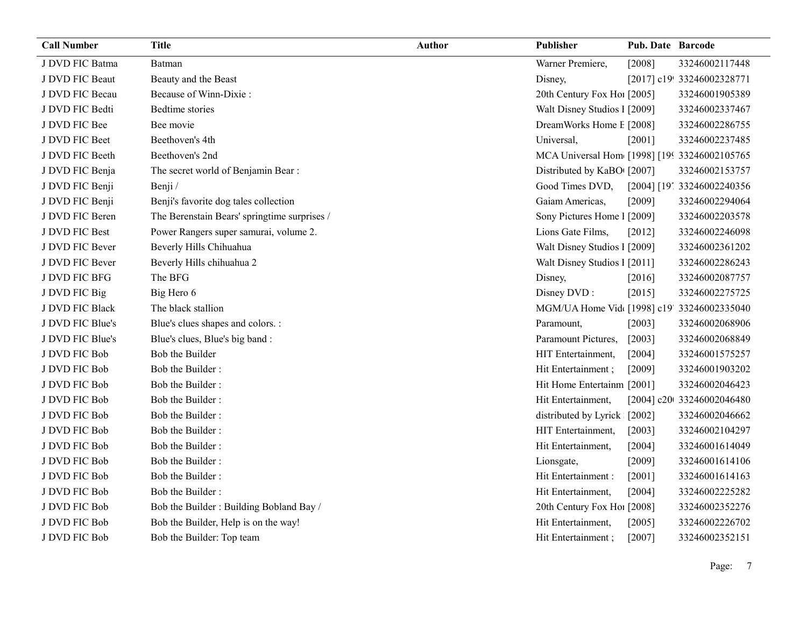| <b>Call Number</b> | <b>Title</b>                                 | <b>Author</b> | Publisher                                      | <b>Pub. Date Barcode</b> |                            |
|--------------------|----------------------------------------------|---------------|------------------------------------------------|--------------------------|----------------------------|
| J DVD FIC Batma    | Batman                                       |               | Warner Premiere,                               | [2008]                   | 33246002117448             |
| J DVD FIC Beaut    | Beauty and the Beast                         |               | Disney,                                        |                          | [2017] c19! 33246002328771 |
| J DVD FIC Becau    | Because of Winn-Dixie:                       |               | 20th Century Fox Ho! [2005]                    |                          | 33246001905389             |
| J DVD FIC Bedti    | Bedtime stories                              |               | Walt Disney Studios 1 [2009]                   |                          | 33246002337467             |
| J DVD FIC Bee      | Bee movie                                    |               | DreamWorks Home E [2008]                       |                          | 33246002286755             |
| J DVD FIC Beet     | Beethoven's 4th                              |               | Universal,                                     | [2001]                   | 33246002237485             |
| J DVD FIC Beeth    | Beethoven's 2nd                              |               | MCA Universal Hom [1998] [1993] 33246002105765 |                          |                            |
| J DVD FIC Benja    | The secret world of Benjamin Bear:           |               | Distributed by KaBO [2007]                     |                          | 33246002153757             |
| J DVD FIC Benji    | Benji /                                      |               | Good Times DVD,                                |                          | [2004] [19] 33246002240356 |
| J DVD FIC Benji    | Benji's favorite dog tales collection        |               | Gaiam Americas,                                | [2009]                   | 33246002294064             |
| J DVD FIC Beren    | The Berenstain Bears' springtime surprises / |               | Sony Pictures Home 1 [2009]                    |                          | 33246002203578             |
| J DVD FIC Best     | Power Rangers super samurai, volume 2.       |               | Lions Gate Films,                              | $[2012]$                 | 33246002246098             |
| J DVD FIC Bever    | Beverly Hills Chihuahua                      |               | Walt Disney Studios I [2009]                   |                          | 33246002361202             |
| J DVD FIC Bever    | Beverly Hills chihuahua 2                    |               | Walt Disney Studios 1 [2011]                   |                          | 33246002286243             |
| J DVD FIC BFG      | The BFG                                      |               | Disney,                                        | [2016]                   | 33246002087757             |
| J DVD FIC Big      | Big Hero 6                                   |               | Disney DVD:                                    | [2015]                   | 33246002275725             |
| J DVD FIC Black    | The black stallion                           |               | MGM/UA Home Vid [1998] c19' 33246002335040     |                          |                            |
| J DVD FIC Blue's   | Blue's clues shapes and colors. :            |               | Paramount,                                     | [2003]                   | 33246002068906             |
| J DVD FIC Blue's   | Blue's clues, Blue's big band:               |               | Paramount Pictures,                            | [2003]                   | 33246002068849             |
| J DVD FIC Bob      | Bob the Builder                              |               | HIT Entertainment,                             | [2004]                   | 33246001575257             |
| J DVD FIC Bob      | Bob the Builder:                             |               | Hit Entertainment;                             | [2009]                   | 33246001903202             |
| J DVD FIC Bob      | Bob the Builder:                             |               | Hit Home Entertainm [2001]                     |                          | 33246002046423             |
| J DVD FIC Bob      | Bob the Builder:                             |               | Hit Entertainment,                             |                          | [2004] c20t 33246002046480 |
| J DVD FIC Bob      | Bob the Builder:                             |               | distributed by Lyrick [2002]                   |                          | 33246002046662             |
| J DVD FIC Bob      | Bob the Builder:                             |               | HIT Entertainment,                             | $[2003]$                 | 33246002104297             |
| J DVD FIC Bob      | Bob the Builder:                             |               | Hit Entertainment,                             | [2004]                   | 33246001614049             |
| J DVD FIC Bob      | Bob the Builder:                             |               | Lionsgate,                                     | [2009]                   | 33246001614106             |
| J DVD FIC Bob      | Bob the Builder:                             |               | Hit Entertainment :                            | [2001]                   | 33246001614163             |
| J DVD FIC Bob      | Bob the Builder:                             |               | Hit Entertainment,                             | [2004]                   | 33246002225282             |
| J DVD FIC Bob      | Bob the Builder: Building Bobland Bay /      |               | 20th Century Fox Ho! [2008]                    |                          | 33246002352276             |
| J DVD FIC Bob      | Bob the Builder, Help is on the way!         |               | Hit Entertainment,                             | [2005]                   | 33246002226702             |
| J DVD FIC Bob      | Bob the Builder: Top team                    |               | Hit Entertainment;                             | [2007]                   | 33246002352151             |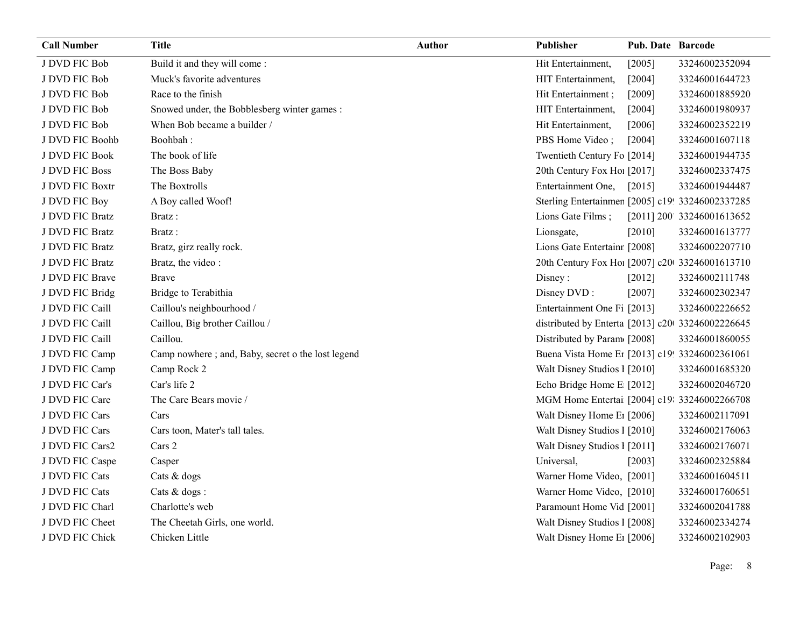| <b>Call Number</b> | <b>Title</b>                                      | Author | Publisher                                        | <b>Pub. Date Barcode</b> |                            |
|--------------------|---------------------------------------------------|--------|--------------------------------------------------|--------------------------|----------------------------|
| J DVD FIC Bob      | Build it and they will come:                      |        | Hit Entertainment,                               | [2005]                   | 33246002352094             |
| J DVD FIC Bob      | Muck's favorite adventures                        |        | HIT Entertainment,                               | [2004]                   | 33246001644723             |
| J DVD FIC Bob      | Race to the finish                                |        | Hit Entertainment;                               | [2009]                   | 33246001885920             |
| J DVD FIC Bob      | Snowed under, the Bobblesberg winter games :      |        | HIT Entertainment,                               | [2004]                   | 33246001980937             |
| J DVD FIC Bob      | When Bob became a builder /                       |        | Hit Entertainment,                               | [2006]                   | 33246002352219             |
| J DVD FIC Boohb    | Boohbah:                                          |        | PBS Home Video;                                  | [2004]                   | 33246001607118             |
| J DVD FIC Book     | The book of life                                  |        | Twentieth Century Fo [2014]                      |                          | 33246001944735             |
| J DVD FIC Boss     | The Boss Baby                                     |        | 20th Century Fox Ho! [2017]                      |                          | 33246002337475             |
| J DVD FIC Boxtr    | The Boxtrolls                                     |        | Entertainment One,                               | $[2015]$                 | 33246001944487             |
| J DVD FIC Boy      | A Boy called Woof!                                |        | Sterling Entertainmen [2005] c19! 33246002337285 |                          |                            |
| J DVD FIC Bratz    | Bratz:                                            |        | Lions Gate Films;                                |                          | [2011] 200' 33246001613652 |
| J DVD FIC Bratz    | Bratz:                                            |        | Lionsgate,                                       | $[2010]$                 | 33246001613777             |
| J DVD FIC Bratz    | Bratz, girz really rock.                          |        | Lions Gate Entertainr [2008]                     |                          | 33246002207710             |
| J DVD FIC Bratz    | Bratz, the video:                                 |        | 20th Century Fox Ho! [2007] c20 33246001613710   |                          |                            |
| J DVD FIC Brave    | <b>Brave</b>                                      |        | Disney:                                          | $[2012]$                 | 33246002111748             |
| J DVD FIC Bridg    | Bridge to Terabithia                              |        | Disney DVD:                                      | [2007]                   | 33246002302347             |
| J DVD FIC Caill    | Caillou's neighbourhood /                         |        | Entertainment One Fi [2013]                      |                          | 33246002226652             |
| J DVD FIC Caill    | Caillou, Big brother Caillou /                    |        | distributed by Enterta [2013] c20 33246002226645 |                          |                            |
| J DVD FIC Caill    | Caillou.                                          |        | Distributed by Param [2008]                      |                          | 33246001860055             |
| J DVD FIC Camp     | Camp nowhere; and, Baby, secret o the lost legend |        | Buena Vista Home Er [2013] c19! 33246002361061   |                          |                            |
| J DVD FIC Camp     | Camp Rock 2                                       |        | Walt Disney Studios I [2010]                     |                          | 33246001685320             |
| J DVD FIC Car's    | Car's life 2                                      |        | Echo Bridge Home E [2012]                        |                          | 33246002046720             |
| J DVD FIC Care     | The Care Bears movie /                            |        | MGM Home Entertai [2004] c19: 33246002266708     |                          |                            |
| J DVD FIC Cars     | Cars                                              |        | Walt Disney Home E1 [2006]                       |                          | 33246002117091             |
| J DVD FIC Cars     | Cars toon, Mater's tall tales.                    |        | Walt Disney Studios 1 [2010]                     |                          | 33246002176063             |
| J DVD FIC Cars2    | Cars 2                                            |        | Walt Disney Studios 1 [2011]                     |                          | 33246002176071             |
| J DVD FIC Caspe    | Casper                                            |        | Universal,                                       | [2003]                   | 33246002325884             |
| J DVD FIC Cats     | Cats & dogs                                       |        | Warner Home Video, [2001]                        |                          | 33246001604511             |
| J DVD FIC Cats     | Cats & dogs :                                     |        | Warner Home Video, [2010]                        |                          | 33246001760651             |
| J DVD FIC Charl    | Charlotte's web                                   |        | Paramount Home Vid [2001]                        |                          | 33246002041788             |
| J DVD FIC Cheet    | The Cheetah Girls, one world.                     |        | Walt Disney Studios I [2008]                     |                          | 33246002334274             |
| J DVD FIC Chick    | Chicken Little                                    |        | Walt Disney Home E <sub>1</sub> [2006]           |                          | 33246002102903             |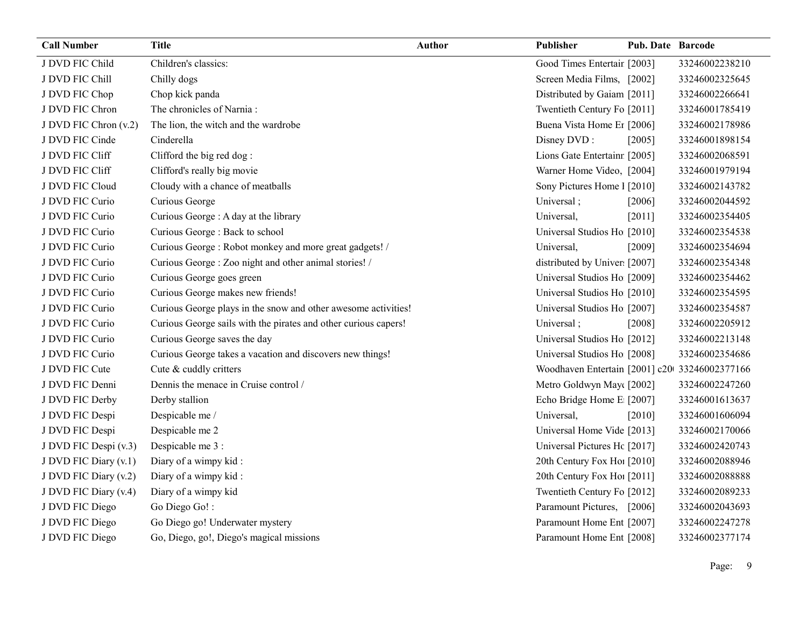| <b>Call Number</b>    | <b>Title</b>                                                    | <b>Author</b> | Publisher                                     | <b>Pub. Date Barcode</b> |                |
|-----------------------|-----------------------------------------------------------------|---------------|-----------------------------------------------|--------------------------|----------------|
| J DVD FIC Child       | Children's classics:                                            |               | Good Times Entertair [2003]                   |                          | 33246002238210 |
| J DVD FIC Chill       | Chilly dogs                                                     |               | Screen Media Films, [2002]                    |                          | 33246002325645 |
| J DVD FIC Chop        | Chop kick panda                                                 |               | Distributed by Gaiam [2011]                   |                          | 33246002266641 |
| J DVD FIC Chron       | The chronicles of Narnia:                                       |               | Twentieth Century Fo [2011]                   |                          | 33246001785419 |
| J DVD FIC Chron (v.2) | The lion, the witch and the wardrobe                            |               | Buena Vista Home Er [2006]                    |                          | 33246002178986 |
| J DVD FIC Cinde       | Cinderella                                                      |               | Disney DVD:                                   | [2005]                   | 33246001898154 |
| J DVD FIC Cliff       | Clifford the big red dog:                                       |               | Lions Gate Entertainr [2005]                  |                          | 33246002068591 |
| J DVD FIC Cliff       | Clifford's really big movie                                     |               | Warner Home Video, [2004]                     |                          | 33246001979194 |
| J DVD FIC Cloud       | Cloudy with a chance of meatballs                               |               | Sony Pictures Home 1 [2010]                   |                          | 33246002143782 |
| J DVD FIC Curio       | Curious George                                                  |               | Universal;                                    | [2006]                   | 33246002044592 |
| J DVD FIC Curio       | Curious George : A day at the library                           |               | Universal,                                    | [2011]                   | 33246002354405 |
| J DVD FIC Curio       | Curious George: Back to school                                  |               | Universal Studios Ho [2010]                   |                          | 33246002354538 |
| J DVD FIC Curio       | Curious George: Robot monkey and more great gadgets! /          |               | Universal,                                    | [2009]                   | 33246002354694 |
| J DVD FIC Curio       | Curious George: Zoo night and other animal stories! /           |               | distributed by Univer [2007]                  |                          | 33246002354348 |
| J DVD FIC Curio       | Curious George goes green                                       |               | Universal Studios Ho [2009]                   |                          | 33246002354462 |
| J DVD FIC Curio       | Curious George makes new friends!                               |               | Universal Studios Ho [2010]                   |                          | 33246002354595 |
| J DVD FIC Curio       | Curious George plays in the snow and other awesome activities!  |               | Universal Studios Ho [2007]                   |                          | 33246002354587 |
| J DVD FIC Curio       | Curious George sails with the pirates and other curious capers! |               | Universal;                                    | [2008]                   | 33246002205912 |
| J DVD FIC Curio       | Curious George saves the day                                    |               | Universal Studios Ho [2012]                   |                          | 33246002213148 |
| J DVD FIC Curio       | Curious George takes a vacation and discovers new things!       |               | Universal Studios Ho [2008]                   |                          | 33246002354686 |
| J DVD FIC Cute        | Cute & cuddly critters                                          |               | Woodhaven Entertain [2001] c20 33246002377166 |                          |                |
| J DVD FIC Denni       | Dennis the menace in Cruise control /                           |               | Metro Goldwyn May([2002]                      |                          | 33246002247260 |
| J DVD FIC Derby       | Derby stallion                                                  |               | Echo Bridge Home E [2007]                     |                          | 33246001613637 |
| J DVD FIC Despi       | Despicable me /                                                 |               | Universal,                                    | $[2010]$                 | 33246001606094 |
| J DVD FIC Despi       | Despicable me 2                                                 |               | Universal Home Vide [2013]                    |                          | 33246002170066 |
| J DVD FIC Despi (v.3) | Despicable me 3 :                                               |               | Universal Pictures Hc [2017]                  |                          | 33246002420743 |
| J DVD FIC Diary (v.1) | Diary of a wimpy kid:                                           |               | 20th Century Fox Ho! [2010]                   |                          | 33246002088946 |
| J DVD FIC Diary (v.2) | Diary of a wimpy kid:                                           |               | 20th Century Fox Ho! [2011]                   |                          | 33246002088888 |
| J DVD FIC Diary (v.4) | Diary of a wimpy kid                                            |               | Twentieth Century Fo [2012]                   |                          | 33246002089233 |
| J DVD FIC Diego       | Go Diego Go!:                                                   |               | Paramount Pictures, [2006]                    |                          | 33246002043693 |
| J DVD FIC Diego       | Go Diego go! Underwater mystery                                 |               | Paramount Home Ent [2007]                     |                          | 33246002247278 |
| J DVD FIC Diego       | Go, Diego, go!, Diego's magical missions                        |               | Paramount Home Ent [2008]                     |                          | 33246002377174 |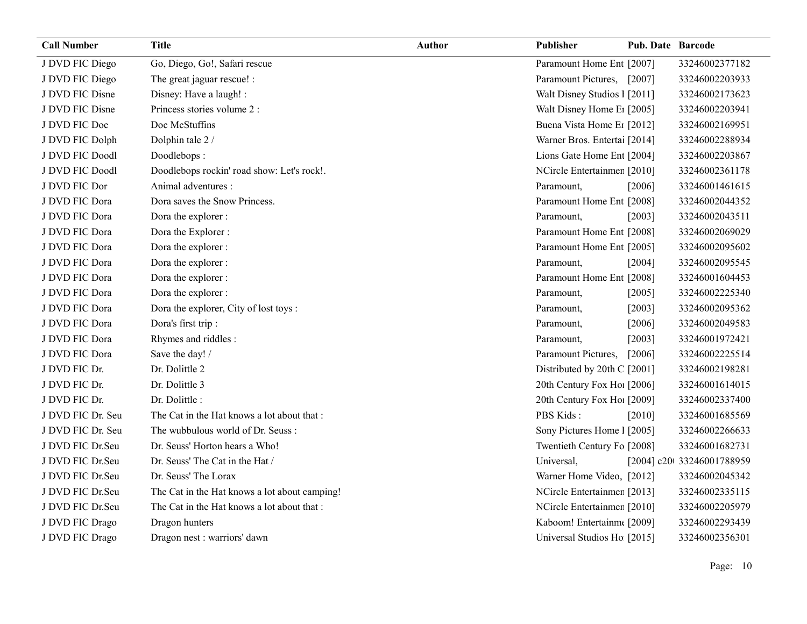| <b>Call Number</b> | <b>Title</b>                                  | <b>Author</b> | Publisher                    | <b>Pub. Date Barcode</b> |                            |
|--------------------|-----------------------------------------------|---------------|------------------------------|--------------------------|----------------------------|
| J DVD FIC Diego    | Go, Diego, Go!, Safari rescue                 |               | Paramount Home Ent [2007]    |                          | 33246002377182             |
| J DVD FIC Diego    | The great jaguar rescue! :                    |               | Paramount Pictures, [2007]   |                          | 33246002203933             |
| J DVD FIC Disne    | Disney: Have a laugh! :                       |               | Walt Disney Studios 1 [2011] |                          | 33246002173623             |
| J DVD FIC Disne    | Princess stories volume 2 :                   |               | Walt Disney Home E1 [2005]   |                          | 33246002203941             |
| J DVD FIC Doc      | Doc McStuffins                                |               | Buena Vista Home Er [2012]   |                          | 33246002169951             |
| J DVD FIC Dolph    | Dolphin tale 2 /                              |               | Warner Bros. Entertai [2014] |                          | 33246002288934             |
| J DVD FIC Doodl    | Doodlebops:                                   |               | Lions Gate Home Ent [2004]   |                          | 33246002203867             |
| J DVD FIC Doodl    | Doodlebops rockin' road show: Let's rock!.    |               | NCircle Entertainmen [2010]  |                          | 33246002361178             |
| J DVD FIC Dor      | Animal adventures :                           |               | Paramount,                   | [2006]                   | 33246001461615             |
| J DVD FIC Dora     | Dora saves the Snow Princess.                 |               | Paramount Home Ent [2008]    |                          | 33246002044352             |
| J DVD FIC Dora     | Dora the explorer :                           |               | Paramount,                   | [2003]                   | 33246002043511             |
| J DVD FIC Dora     | Dora the Explorer :                           |               | Paramount Home Ent [2008]    |                          | 33246002069029             |
| J DVD FIC Dora     | Dora the explorer :                           |               | Paramount Home Ent [2005]    |                          | 33246002095602             |
| J DVD FIC Dora     | Dora the explorer :                           |               | Paramount,                   | [2004]                   | 33246002095545             |
| J DVD FIC Dora     | Dora the explorer :                           |               | Paramount Home Ent [2008]    |                          | 33246001604453             |
| J DVD FIC Dora     | Dora the explorer :                           |               | Paramount,                   | $[2005]$                 | 33246002225340             |
| J DVD FIC Dora     | Dora the explorer, City of lost toys :        |               | Paramount,                   | [2003]                   | 33246002095362             |
| J DVD FIC Dora     | Dora's first trip :                           |               | Paramount,                   | [2006]                   | 33246002049583             |
| J DVD FIC Dora     | Rhymes and riddles:                           |               | Paramount,                   | [2003]                   | 33246001972421             |
| J DVD FIC Dora     | Save the day! /                               |               | Paramount Pictures,          | [2006]                   | 33246002225514             |
| J DVD FIC Dr.      | Dr. Dolittle 2                                |               | Distributed by 20th C [2001] |                          | 33246002198281             |
| J DVD FIC Dr.      | Dr. Dolittle 3                                |               | 20th Century Fox Ho! [2006]  |                          | 33246001614015             |
| J DVD FIC Dr.      | Dr. Dolittle:                                 |               | 20th Century Fox Ho! [2009]  |                          | 33246002337400             |
| J DVD FIC Dr. Seu  | The Cat in the Hat knows a lot about that :   |               | PBS Kids:                    | [2010]                   | 33246001685569             |
| J DVD FIC Dr. Seu  | The wubbulous world of Dr. Seuss:             |               | Sony Pictures Home 1 [2005]  |                          | 33246002266633             |
| J DVD FIC Dr.Seu   | Dr. Seuss' Horton hears a Who!                |               | Twentieth Century Fo [2008]  |                          | 33246001682731             |
| J DVD FIC Dr.Seu   | Dr. Seuss' The Cat in the Hat /               |               | Universal,                   |                          | [2004] c20t 33246001788959 |
| J DVD FIC Dr.Seu   | Dr. Seuss' The Lorax                          |               | Warner Home Video, [2012]    |                          | 33246002045342             |
| J DVD FIC Dr.Seu   | The Cat in the Hat knows a lot about camping! |               | NCircle Entertainmen [2013]  |                          | 33246002335115             |
| J DVD FIC Dr.Seu   | The Cat in the Hat knows a lot about that :   |               | NCircle Entertainmen [2010]  |                          | 33246002205979             |
| J DVD FIC Drago    | Dragon hunters                                |               | Kaboom! Entertainm([2009]    |                          | 33246002293439             |
| J DVD FIC Drago    | Dragon nest : warriors' dawn                  |               | Universal Studios Ho [2015]  |                          | 33246002356301             |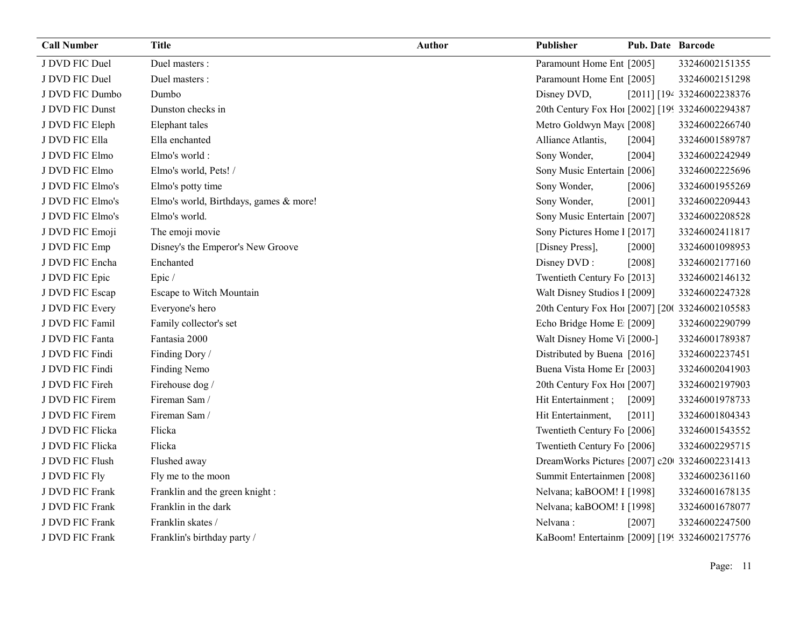| <b>Call Number</b> | <b>Title</b>                           | <b>Author</b> | Publisher                                       | Pub. Date Barcode |                            |
|--------------------|----------------------------------------|---------------|-------------------------------------------------|-------------------|----------------------------|
| J DVD FIC Duel     | Duel masters :                         |               | Paramount Home Ent [2005]                       |                   | 33246002151355             |
| J DVD FIC Duel     | Duel masters :                         |               | Paramount Home Ent [2005]                       |                   | 33246002151298             |
| J DVD FIC Dumbo    | Dumbo                                  |               | Disney DVD,                                     |                   | [2011] [194 33246002238376 |
| J DVD FIC Dunst    | Dunston checks in                      |               | 20th Century Fox Ho [2002] [199 33246002294387  |                   |                            |
| J DVD FIC Eleph    | Elephant tales                         |               | Metro Goldwyn May([2008]                        |                   | 33246002266740             |
| J DVD FIC Ella     | Ella enchanted                         |               | Alliance Atlantis,                              | [2004]            | 33246001589787             |
| J DVD FIC Elmo     | Elmo's world:                          |               | Sony Wonder,                                    | [2004]            | 33246002242949             |
| J DVD FIC Elmo     | Elmo's world, Pets! /                  |               | Sony Music Entertain [2006]                     |                   | 33246002225696             |
| J DVD FIC Elmo's   | Elmo's potty time                      |               | Sony Wonder,                                    | $[2006]$          | 33246001955269             |
| J DVD FIC Elmo's   | Elmo's world, Birthdays, games & more! |               | Sony Wonder,                                    | [2001]            | 33246002209443             |
| J DVD FIC Elmo's   | Elmo's world.                          |               | Sony Music Entertain [2007]                     |                   | 33246002208528             |
| J DVD FIC Emoji    | The emoji movie                        |               | Sony Pictures Home 1 [2017]                     |                   | 33246002411817             |
| J DVD FIC Emp      | Disney's the Emperor's New Groove      |               | [Disney Press],                                 | [2000]            | 33246001098953             |
| J DVD FIC Encha    | Enchanted                              |               | Disney DVD:                                     | [2008]            | 33246002177160             |
| J DVD FIC Epic     | Epic/                                  |               | Twentieth Century Fo [2013]                     |                   | 33246002146132             |
| J DVD FIC Escap    | Escape to Witch Mountain               |               | Walt Disney Studios 1 [2009]                    |                   | 33246002247328             |
| J DVD FIC Every    | Everyone's hero                        |               | 20th Century Fox Ho! [2007] [200 33246002105583 |                   |                            |
| J DVD FIC Famil    | Family collector's set                 |               | Echo Bridge Home E [2009]                       |                   | 33246002290799             |
| J DVD FIC Fanta    | Fantasia 2000                          |               | Walt Disney Home V <sub>1</sub> [2000-]         |                   | 33246001789387             |
| J DVD FIC Findi    | Finding Dory /                         |               | Distributed by Buena [2016]                     |                   | 33246002237451             |
| J DVD FIC Findi    | Finding Nemo                           |               | Buena Vista Home Er [2003]                      |                   | 33246002041903             |
| J DVD FIC Fireh    | Firehouse dog /                        |               | 20th Century Fox Ho! [2007]                     |                   | 33246002197903             |
| J DVD FIC Firem    | Fireman Sam /                          |               | Hit Entertainment;                              | [2009]            | 33246001978733             |
| J DVD FIC Firem    | Fireman Sam /                          |               | Hit Entertainment,                              | [2011]            | 33246001804343             |
| J DVD FIC Flicka   | Flicka                                 |               | Twentieth Century Fo [2006]                     |                   | 33246001543552             |
| J DVD FIC Flicka   | Flicka                                 |               | Twentieth Century Fo [2006]                     |                   | 33246002295715             |
| J DVD FIC Flush    | Flushed away                           |               | DreamWorks Pictures [2007] c20 33246002231413   |                   |                            |
| J DVD FIC Fly      | Fly me to the moon                     |               | Summit Entertainmen [2008]                      |                   | 33246002361160             |
| J DVD FIC Frank    | Franklin and the green knight :        |               | Nelvana; kaBOOM! I [1998]                       |                   | 33246001678135             |
| J DVD FIC Frank    | Franklin in the dark                   |               | Nelvana; kaBOOM! I [1998]                       |                   | 33246001678077             |
| J DVD FIC Frank    | Franklin skates /                      |               | Nelvana:                                        | $[2007]$          | 33246002247500             |
| J DVD FIC Frank    | Franklin's birthday party /            |               | KaBoom! Entertainm [2009] [199 33246002175776   |                   |                            |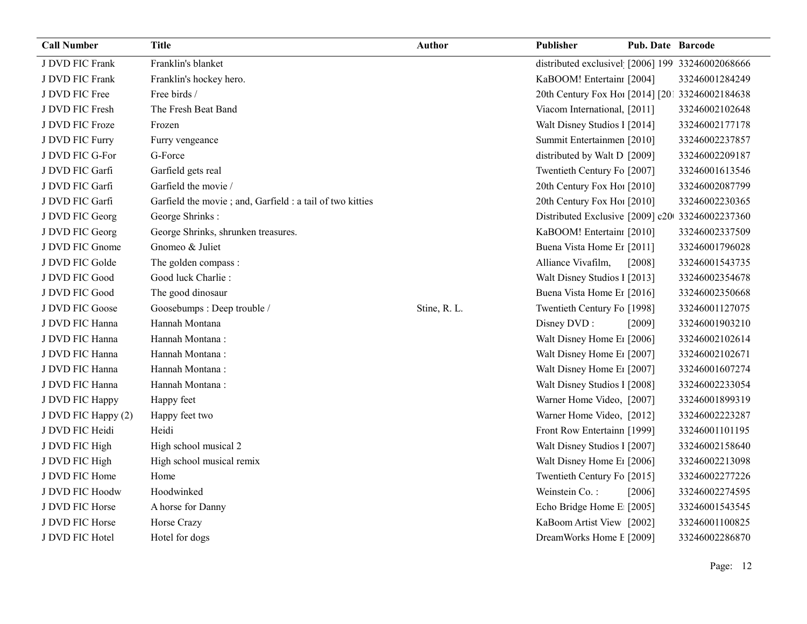| <b>Call Number</b>  | <b>Title</b>                                               | Author       | <b>Publisher</b>                                 | <b>Pub. Date Barcode</b> |                |
|---------------------|------------------------------------------------------------|--------------|--------------------------------------------------|--------------------------|----------------|
| J DVD FIC Frank     | Franklin's blanket                                         |              | distributed exclusivel [2006] 199 33246002068666 |                          |                |
| J DVD FIC Frank     | Franklin's hockey hero.                                    |              | KaBOOM! Entertainı [2004]                        |                          | 33246001284249 |
| J DVD FIC Free      | Free birds /                                               |              | 20th Century Fox Ho! [2014] [201 33246002184638  |                          |                |
| J DVD FIC Fresh     | The Fresh Beat Band                                        |              | Viacom International, [2011]                     |                          | 33246002102648 |
| J DVD FIC Froze     | Frozen                                                     |              | Walt Disney Studios 1 [2014]                     |                          | 33246002177178 |
| J DVD FIC Furry     | Furry vengeance                                            |              | Summit Entertainmen [2010]                       |                          | 33246002237857 |
| J DVD FIC G-For     | G-Force                                                    |              | distributed by Walt D [2009]                     |                          | 33246002209187 |
| J DVD FIC Garfi     | Garfield gets real                                         |              | Twentieth Century Fo [2007]                      |                          | 33246001613546 |
| J DVD FIC Garfi     | Garfield the movie /                                       |              | 20th Century Fox Ho! [2010]                      |                          | 33246002087799 |
| J DVD FIC Garfi     | Garfield the movie ; and, Garfield : a tail of two kitties |              | 20th Century Fox Ho! [2010]                      |                          | 33246002230365 |
| J DVD FIC Georg     | George Shrinks:                                            |              | Distributed Exclusive [2009] c20 33246002237360  |                          |                |
| J DVD FIC Georg     | George Shrinks, shrunken treasures.                        |              | KaBOOM! Entertain [2010]                         |                          | 33246002337509 |
| J DVD FIC Gnome     | Gnomeo & Juliet                                            |              | Buena Vista Home Er [2011]                       |                          | 33246001796028 |
| J DVD FIC Golde     | The golden compass :                                       |              | Alliance Vivafilm,                               | [2008]                   | 33246001543735 |
| J DVD FIC Good      | Good luck Charlie:                                         |              | Walt Disney Studios 1 [2013]                     |                          | 33246002354678 |
| J DVD FIC Good      | The good dinosaur                                          |              | Buena Vista Home Er [2016]                       |                          | 33246002350668 |
| J DVD FIC Goose     | Goosebumps : Deep trouble /                                | Stine, R. L. | Twentieth Century Fo [1998]                      |                          | 33246001127075 |
| J DVD FIC Hanna     | Hannah Montana                                             |              | Disney DVD:                                      | [2009]                   | 33246001903210 |
| J DVD FIC Hanna     | Hannah Montana:                                            |              | Walt Disney Home E1 [2006]                       |                          | 33246002102614 |
| J DVD FIC Hanna     | Hannah Montana:                                            |              | Walt Disney Home E1 [2007]                       |                          | 33246002102671 |
| J DVD FIC Hanna     | Hannah Montana:                                            |              | Walt Disney Home E <sub>1</sub> [2007]           |                          | 33246001607274 |
| J DVD FIC Hanna     | Hannah Montana:                                            |              | Walt Disney Studios 1 [2008]                     |                          | 33246002233054 |
| J DVD FIC Happy     | Happy feet                                                 |              | Warner Home Video, [2007]                        |                          | 33246001899319 |
| J DVD FIC Happy (2) | Happy feet two                                             |              | Warner Home Video, [2012]                        |                          | 33246002223287 |
| J DVD FIC Heidi     | Heidi                                                      |              | Front Row Entertainn [1999]                      |                          | 33246001101195 |
| J DVD FIC High      | High school musical 2                                      |              | Walt Disney Studios I [2007]                     |                          | 33246002158640 |
| J DVD FIC High      | High school musical remix                                  |              | Walt Disney Home E1 [2006]                       |                          | 33246002213098 |
| J DVD FIC Home      | Home                                                       |              | Twentieth Century Fo [2015]                      |                          | 33246002277226 |
| J DVD FIC Hoodw     | Hoodwinked                                                 |              | Weinstein Co.:                                   | [2006]                   | 33246002274595 |
| J DVD FIC Horse     | A horse for Danny                                          |              | Echo Bridge Home E [2005]                        |                          | 33246001543545 |
| J DVD FIC Horse     | Horse Crazy                                                |              | KaBoom Artist View [2002]                        |                          | 33246001100825 |
| J DVD FIC Hotel     | Hotel for dogs                                             |              | DreamWorks Home E [2009]                         |                          | 33246002286870 |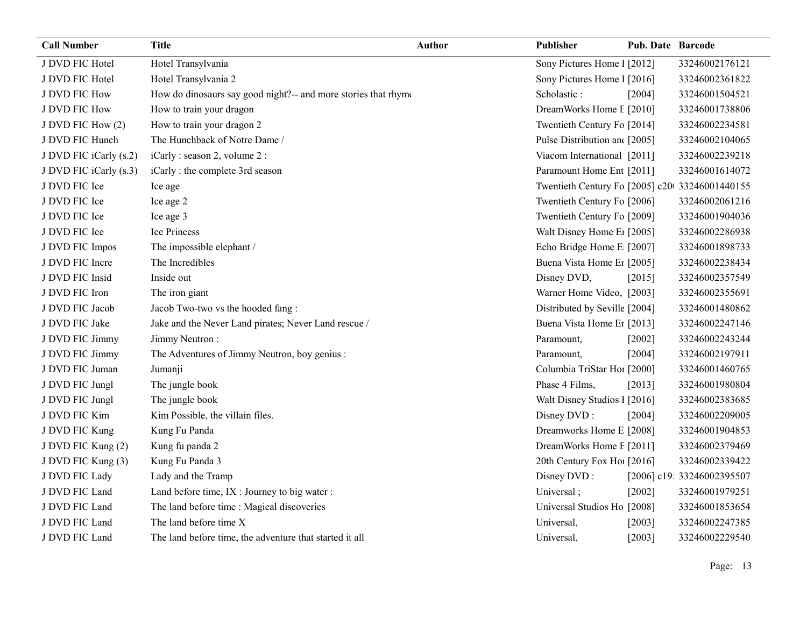| <b>Call Number</b>     | <b>Title</b>                                                   | <b>Author</b> | <b>Publisher</b>                               | <b>Pub. Date Barcode</b> |                            |
|------------------------|----------------------------------------------------------------|---------------|------------------------------------------------|--------------------------|----------------------------|
| J DVD FIC Hotel        | Hotel Transylvania                                             |               | Sony Pictures Home 1 [2012]                    |                          | 33246002176121             |
| J DVD FIC Hotel        | Hotel Transylvania 2                                           |               | Sony Pictures Home 1 [2016]                    |                          | 33246002361822             |
| J DVD FIC How          | How do dinosaurs say good night?-- and more stories that rhymo |               | Scholastic:                                    | [2004]                   | 33246001504521             |
| J DVD FIC How          | How to train your dragon                                       |               | DreamWorks Home E [2010]                       |                          | 33246001738806             |
| J DVD FIC How (2)      | How to train your dragon 2                                     |               | Twentieth Century Fo [2014]                    |                          | 33246002234581             |
| J DVD FIC Hunch        | The Hunchback of Notre Dame /                                  |               | Pulse Distribution and [2005]                  |                          | 33246002104065             |
| J DVD FIC iCarly (s.2) | iCarly: season 2, volume 2:                                    |               | Viacom International [2011]                    |                          | 33246002239218             |
| J DVD FIC iCarly (s.3) | iCarly : the complete 3rd season                               |               | Paramount Home Ent [2011]                      |                          | 33246001614072             |
| J DVD FIC Ice          | Ice age                                                        |               | Twentieth Century Fo [2005] c20 33246001440155 |                          |                            |
| J DVD FIC Ice          | Ice age 2                                                      |               | Twentieth Century Fo [2006]                    |                          | 33246002061216             |
| J DVD FIC Ice          | Ice age 3                                                      |               | Twentieth Century Fo [2009]                    |                          | 33246001904036             |
| J DVD FIC Ice          | Ice Princess                                                   |               | Walt Disney Home E1 [2005]                     |                          | 33246002286938             |
| J DVD FIC Impos        | The impossible elephant /                                      |               | Echo Bridge Home E [2007]                      |                          | 33246001898733             |
| J DVD FIC Incre        | The Incredibles                                                |               | Buena Vista Home Et [2005]                     |                          | 33246002238434             |
| J DVD FIC Insid        | Inside out                                                     |               | Disney DVD,                                    | [2015]                   | 33246002357549             |
| J DVD FIC Iron         | The iron giant                                                 |               | Warner Home Video, [2003]                      |                          | 33246002355691             |
| J DVD FIC Jacob        | Jacob Two-two vs the hooded fang:                              |               | Distributed by Seville [2004]                  |                          | 33246001480862             |
| J DVD FIC Jake         | Jake and the Never Land pirates; Never Land rescue /           |               | Buena Vista Home Er [2013]                     |                          | 33246002247146             |
| J DVD FIC Jimmy        | Jimmy Neutron:                                                 |               | Paramount,                                     | [2002]                   | 33246002243244             |
| J DVD FIC Jimmy        | The Adventures of Jimmy Neutron, boy genius :                  |               | Paramount.                                     | [2004]                   | 33246002197911             |
| J DVD FIC Juman        | Jumanji                                                        |               | Columbia TriStar Ho1 [2000]                    |                          | 33246001460765             |
| J DVD FIC Jungl        | The jungle book                                                |               | Phase 4 Films,                                 | [2013]                   | 33246001980804             |
| J DVD FIC Jungl        | The jungle book                                                |               | Walt Disney Studios I [2016]                   |                          | 33246002383685             |
| J DVD FIC Kim          | Kim Possible, the villain files.                               |               | Disney DVD:                                    | [2004]                   | 33246002209005             |
| J DVD FIC Kung         | Kung Fu Panda                                                  |               | Dreamworks Home E [2008]                       |                          | 33246001904853             |
| J DVD FIC Kung (2)     | Kung fu panda 2                                                |               | DreamWorks Home E [2011]                       |                          | 33246002379469             |
| J DVD FIC Kung (3)     | Kung Fu Panda 3                                                |               | 20th Century Fox Ho! [2016]                    |                          | 33246002339422             |
| J DVD FIC Lady         | Lady and the Tramp                                             |               | Disney DVD:                                    |                          | [2006] c19. 33246002395507 |
| J DVD FIC Land         | Land before time, IX : Journey to big water :                  |               | Universal;                                     | $[2002]$                 | 33246001979251             |
| J DVD FIC Land         | The land before time : Magical discoveries                     |               | Universal Studios Ho [2008]                    |                          | 33246001853654             |
| J DVD FIC Land         | The land before time X                                         |               | Universal,                                     | $[2003]$                 | 33246002247385             |
| J DVD FIC Land         | The land before time, the adventure that started it all        |               | Universal,                                     | [2003]                   | 33246002229540             |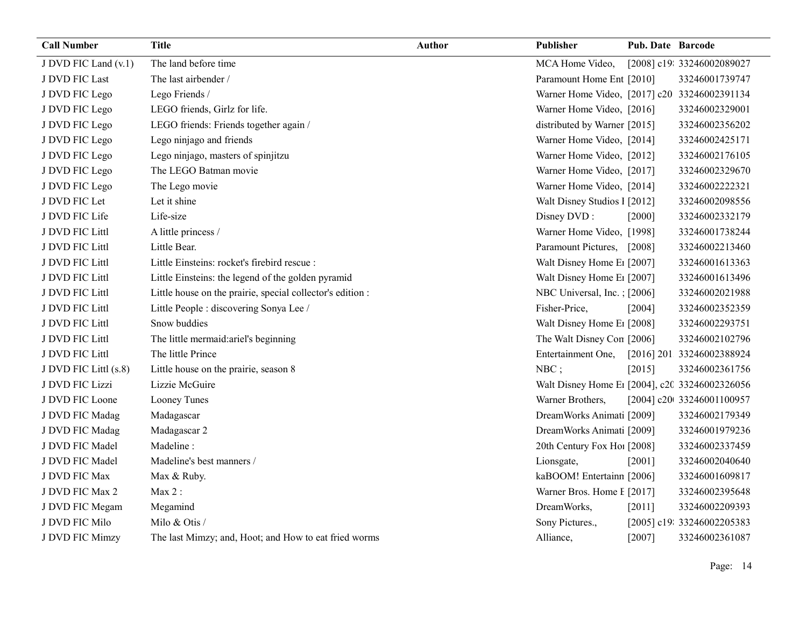| <b>Call Number</b>    | <b>Title</b>                                               | <b>Author</b> | Publisher                                      | <b>Pub. Date Barcode</b> |                            |
|-----------------------|------------------------------------------------------------|---------------|------------------------------------------------|--------------------------|----------------------------|
| J DVD FIC Land (v.1)  | The land before time                                       |               | MCA Home Video,                                |                          | [2008] c19: 33246002089027 |
| J DVD FIC Last        | The last airbender /                                       |               | Paramount Home Ent [2010]                      |                          | 33246001739747             |
| J DVD FIC Lego        | Lego Friends /                                             |               | Warner Home Video, [2017] c20 33246002391134   |                          |                            |
| J DVD FIC Lego        | LEGO friends, Girlz for life.                              |               | Warner Home Video, [2016]                      |                          | 33246002329001             |
| J DVD FIC Lego        | LEGO friends: Friends together again /                     |               | distributed by Warner [2015]                   |                          | 33246002356202             |
| J DVD FIC Lego        | Lego ninjago and friends                                   |               | Warner Home Video, [2014]                      |                          | 33246002425171             |
| J DVD FIC Lego        | Lego ninjago, masters of spinjitzu                         |               | Warner Home Video, [2012]                      |                          | 33246002176105             |
| J DVD FIC Lego        | The LEGO Batman movie                                      |               | Warner Home Video, [2017]                      |                          | 33246002329670             |
| J DVD FIC Lego        | The Lego movie                                             |               | Warner Home Video, [2014]                      |                          | 33246002222321             |
| J DVD FIC Let         | Let it shine                                               |               | Walt Disney Studios 1 [2012]                   |                          | 33246002098556             |
| J DVD FIC Life        | Life-size                                                  |               | Disney DVD:                                    | [2000]                   | 33246002332179             |
| J DVD FIC Littl       | A little princess /                                        |               | Warner Home Video, [1998]                      |                          | 33246001738244             |
| J DVD FIC Littl       | Little Bear.                                               |               | Paramount Pictures,                            | [2008]                   | 33246002213460             |
| J DVD FIC Littl       | Little Einsteins: rocket's firebird rescue :               |               | Walt Disney Home E1 [2007]                     |                          | 33246001613363             |
| J DVD FIC Littl       | Little Einsteins: the legend of the golden pyramid         |               | Walt Disney Home E1 [2007]                     |                          | 33246001613496             |
| J DVD FIC Littl       | Little house on the prairie, special collector's edition : |               | NBC Universal, Inc. : [2006]                   |                          | 33246002021988             |
| J DVD FIC Littl       | Little People : discovering Sonya Lee /                    |               | Fisher-Price,                                  | [2004]                   | 33246002352359             |
| J DVD FIC Littl       | Snow buddies                                               |               | Walt Disney Home E1 [2008]                     |                          | 33246002293751             |
| J DVD FIC Littl       | The little mermaid: ariel's beginning                      |               | The Walt Disney Con [2006]                     |                          | 33246002102796             |
| J DVD FIC Littl       | The little Prince                                          |               | Entertainment One,                             |                          | [2016] 201 33246002388924  |
| J DVD FIC Littl (s.8) | Little house on the prairie, season 8                      |               | $NBC$ ;                                        | [2015]                   | 33246002361756             |
| J DVD FIC Lizzi       | Lizzie McGuire                                             |               | Walt Disney Home E1 [2004], c20 33246002326056 |                          |                            |
| J DVD FIC Loone       | Looney Tunes                                               |               | Warner Brothers,                               |                          | [2004] c20t 33246001100957 |
| J DVD FIC Madag       | Madagascar                                                 |               | DreamWorks Animati [2009]                      |                          | 33246002179349             |
| J DVD FIC Madag       | Madagascar 2                                               |               | DreamWorks Animati [2009]                      |                          | 33246001979236             |
| J DVD FIC Madel       | Madeline:                                                  |               | 20th Century Fox Ho! [2008]                    |                          | 33246002337459             |
| J DVD FIC Madel       | Madeline's best manners /                                  |               | Lionsgate,                                     | [2001]                   | 33246002040640             |
| J DVD FIC Max         | Max & Ruby.                                                |               | kaBOOM! Entertainn [2006]                      |                          | 33246001609817             |
| J DVD FIC Max 2       | Max 2:                                                     |               | Warner Bros. Home I [2017]                     |                          | 33246002395648             |
| J DVD FIC Megam       | Megamind                                                   |               | DreamWorks,                                    | [2011]                   | 33246002209393             |
| J DVD FIC Milo        | Milo & Otis /                                              |               | Sony Pictures.,                                |                          | [2005] c19: 33246002205383 |
| J DVD FIC Mimzy       | The last Mimzy; and, Hoot; and How to eat fried worms      |               | Alliance,                                      | [2007]                   | 33246002361087             |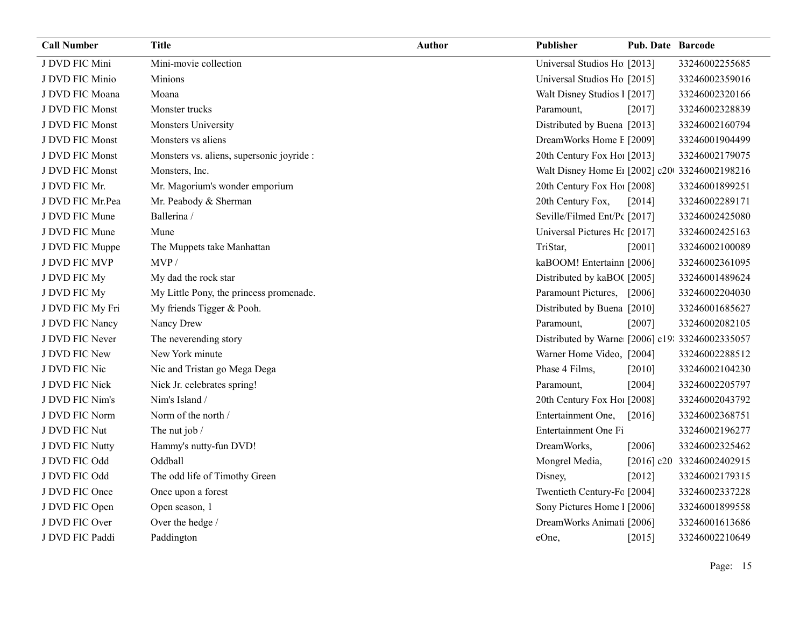| <b>Call Number</b> | <b>Title</b>                              | Author | Publisher                                       | <b>Pub. Date Barcode</b> |                           |
|--------------------|-------------------------------------------|--------|-------------------------------------------------|--------------------------|---------------------------|
| J DVD FIC Mini     | Mini-movie collection                     |        | Universal Studios Ho [2013]                     |                          | 33246002255685            |
| J DVD FIC Minio    | Minions                                   |        | Universal Studios Ho [2015]                     |                          | 33246002359016            |
| J DVD FIC Moana    | Moana                                     |        | Walt Disney Studios 1 [2017]                    |                          | 33246002320166            |
| J DVD FIC Monst    | Monster trucks                            |        | Paramount,                                      | [2017]                   | 33246002328839            |
| J DVD FIC Monst    | Monsters University                       |        | Distributed by Buena [2013]                     |                          | 33246002160794            |
| J DVD FIC Monst    | Monsters vs aliens                        |        | DreamWorks Home E [2009]                        |                          | 33246001904499            |
| J DVD FIC Monst    | Monsters vs. aliens, supersonic joyride : |        | 20th Century Fox Ho! [2013]                     |                          | 33246002179075            |
| J DVD FIC Monst    | Monsters, Inc.                            |        | Walt Disney Home E1 [2002] c20 33246002198216   |                          |                           |
| J DVD FIC Mr.      | Mr. Magorium's wonder emporium            |        | 20th Century Fox Ho! [2008]                     |                          | 33246001899251            |
| J DVD FIC Mr.Pea   | Mr. Peabody & Sherman                     |        | 20th Century Fox,                               | [2014]                   | 33246002289171            |
| J DVD FIC Mune     | Ballerina /                               |        | Seville/Filmed Ent/Pc [2017]                    |                          | 33246002425080            |
| J DVD FIC Mune     | Mune                                      |        | Universal Pictures Hc [2017]                    |                          | 33246002425163            |
| J DVD FIC Muppe    | The Muppets take Manhattan                |        | TriStar,                                        | [2001]                   | 33246002100089            |
| J DVD FIC MVP      | MVP/                                      |        | kaBOOM! Entertainn [2006]                       |                          | 33246002361095            |
| J DVD FIC My       | My dad the rock star                      |        | Distributed by kaBO([2005]                      |                          | 33246001489624            |
| J DVD FIC My       | My Little Pony, the princess promenade.   |        | Paramount Pictures,                             | [2006]                   | 33246002204030            |
| J DVD FIC My Fri   | My friends Tigger & Pooh.                 |        | Distributed by Buena [2010]                     |                          | 33246001685627            |
| J DVD FIC Nancy    | Nancy Drew                                |        | Paramount,                                      | [2007]                   | 33246002082105            |
| J DVD FIC Never    | The neverending story                     |        | Distributed by Warne [2006] c19: 33246002335057 |                          |                           |
| J DVD FIC New      | New York minute                           |        | Warner Home Video, [2004]                       |                          | 33246002288512            |
| J DVD FIC Nic      | Nic and Tristan go Mega Dega              |        | Phase 4 Films,                                  | $[2010]$                 | 33246002104230            |
| J DVD FIC Nick     | Nick Jr. celebrates spring!               |        | Paramount,                                      | [2004]                   | 33246002205797            |
| J DVD FIC Nim's    | Nim's Island /                            |        | 20th Century Fox Ho! [2008]                     |                          | 33246002043792            |
| J DVD FIC Norm     | Norm of the north /                       |        | Entertainment One,                              | [2016]                   | 33246002368751            |
| J DVD FIC Nut      | The nut job /                             |        | Entertainment One Fi                            |                          | 33246002196277            |
| J DVD FIC Nutty    | Hammy's nutty-fun DVD!                    |        | DreamWorks,                                     | [2006]                   | 33246002325462            |
| J DVD FIC Odd      | Oddball                                   |        | Mongrel Media,                                  |                          | [2016] c20 33246002402915 |
| J DVD FIC Odd      | The odd life of Timothy Green             |        | Disney,                                         | [2012]                   | 33246002179315            |
| J DVD FIC Once     | Once upon a forest                        |        | Twentieth Century-Fc [2004]                     |                          | 33246002337228            |
| J DVD FIC Open     | Open season, 1                            |        | Sony Pictures Home 1 [2006]                     |                          | 33246001899558            |
| J DVD FIC Over     | Over the hedge /                          |        | DreamWorks Animati [2006]                       |                          | 33246001613686            |
| J DVD FIC Paddi    | Paddington                                |        | eOne,                                           | $[2015]$                 | 33246002210649            |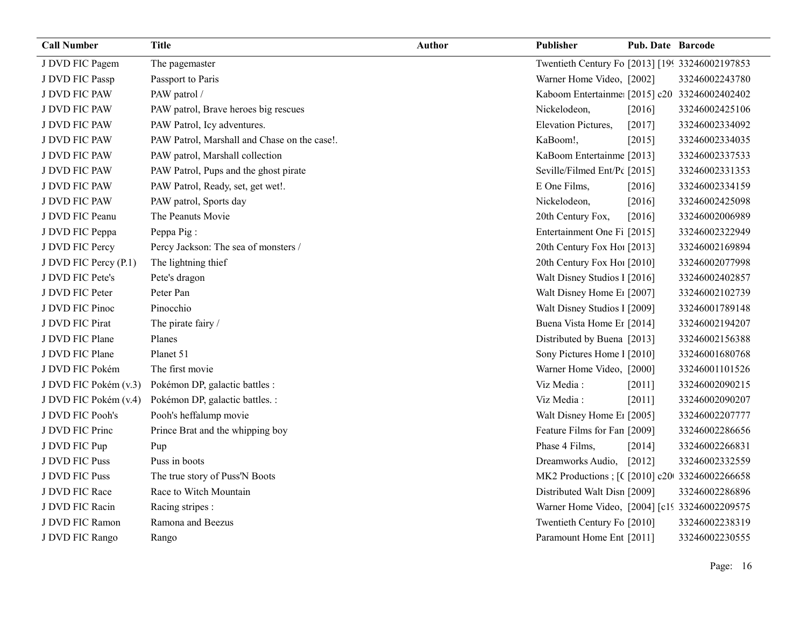| <b>Call Number</b>    | <b>Title</b>                                 | Author | Publisher                                        | <b>Pub. Date Barcode</b> |                |
|-----------------------|----------------------------------------------|--------|--------------------------------------------------|--------------------------|----------------|
| J DVD FIC Pagem       | The pagemaster                               |        | Twentieth Century Fo [2013] [199 33246002197853] |                          |                |
| J DVD FIC Passp       | Passport to Paris                            |        | Warner Home Video, [2002]                        |                          | 33246002243780 |
| J DVD FIC PAW         | PAW patrol /                                 |        | Kaboom Entertainme [2015] c20 33246002402402     |                          |                |
| J DVD FIC PAW         | PAW patrol, Brave heroes big rescues         |        | Nickelodeon,                                     | [2016]                   | 33246002425106 |
| J DVD FIC PAW         | PAW Patrol, Icy adventures.                  |        | Elevation Pictures,                              | [2017]                   | 33246002334092 |
| J DVD FIC PAW         | PAW Patrol, Marshall and Chase on the case!. |        | KaBoom!,                                         | [2015]                   | 33246002334035 |
| J DVD FIC PAW         | PAW patrol, Marshall collection              |        | KaBoom Entertainme [2013]                        |                          | 33246002337533 |
| J DVD FIC PAW         | PAW Patrol, Pups and the ghost pirate        |        | Seville/Filmed Ent/Pc [2015]                     |                          | 33246002331353 |
| J DVD FIC PAW         | PAW Patrol, Ready, set, get wet!.            |        | E One Films,                                     | $[2016]$                 | 33246002334159 |
| J DVD FIC PAW         | PAW patrol, Sports day                       |        | Nickelodeon,                                     | [2016]                   | 33246002425098 |
| J DVD FIC Peanu       | The Peanuts Movie                            |        | 20th Century Fox,                                | [2016]                   | 33246002006989 |
| J DVD FIC Peppa       | Peppa Pig:                                   |        | Entertainment One Fi [2015]                      |                          | 33246002322949 |
| J DVD FIC Percy       | Percy Jackson: The sea of monsters /         |        | 20th Century Fox Ho! [2013]                      |                          | 33246002169894 |
| J DVD FIC Percy (P.1) | The lightning thief                          |        | 20th Century Fox Ho! [2010]                      |                          | 33246002077998 |
| J DVD FIC Pete's      | Pete's dragon                                |        | Walt Disney Studios 1 [2016]                     |                          | 33246002402857 |
| J DVD FIC Peter       | Peter Pan                                    |        | Walt Disney Home E1 [2007]                       |                          | 33246002102739 |
| J DVD FIC Pinoc       | Pinocchio                                    |        | Walt Disney Studios 1 [2009]                     |                          | 33246001789148 |
| J DVD FIC Pirat       | The pirate fairy /                           |        | Buena Vista Home Er [2014]                       |                          | 33246002194207 |
| J DVD FIC Plane       | Planes                                       |        | Distributed by Buena [2013]                      |                          | 33246002156388 |
| J DVD FIC Plane       | Planet 51                                    |        | Sony Pictures Home 1 [2010]                      |                          | 33246001680768 |
| J DVD FIC Pokém       | The first movie                              |        | Warner Home Video, [2000]                        |                          | 33246001101526 |
| J DVD FIC Pokém (v.3) | Pokémon DP, galactic battles :               |        | Viz Media:                                       | [2011]                   | 33246002090215 |
| J DVD FIC Pokém (v.4) | Pokémon DP, galactic battles. :              |        | Viz Media:                                       | [2011]                   | 33246002090207 |
| J DVD FIC Pooh's      | Pooh's heffalump movie                       |        | Walt Disney Home E1 [2005]                       |                          | 33246002207777 |
| J DVD FIC Princ       | Prince Brat and the whipping boy             |        | Feature Films for Fan [2009]                     |                          | 33246002286656 |
| J DVD FIC Pup         | Pup                                          |        | Phase 4 Films,                                   | [2014]                   | 33246002266831 |
| J DVD FIC Puss        | Puss in boots                                |        | Dreamworks Audio,                                | $[2012]$                 | 33246002332559 |
| J DVD FIC Puss        | The true story of Puss'N Boots               |        | MK2 Productions ; [C [2010] c200 33246002266658  |                          |                |
| J DVD FIC Race        | Race to Witch Mountain                       |        | Distributed Walt Disn [2009]                     |                          | 33246002286896 |
| J DVD FIC Racin       | Racing stripes :                             |        | Warner Home Video, [2004] [c19 33246002209575    |                          |                |
| J DVD FIC Ramon       | Ramona and Beezus                            |        | Twentieth Century Fo [2010]                      |                          | 33246002238319 |
| J DVD FIC Rango       | Rango                                        |        | Paramount Home Ent [2011]                        |                          | 33246002230555 |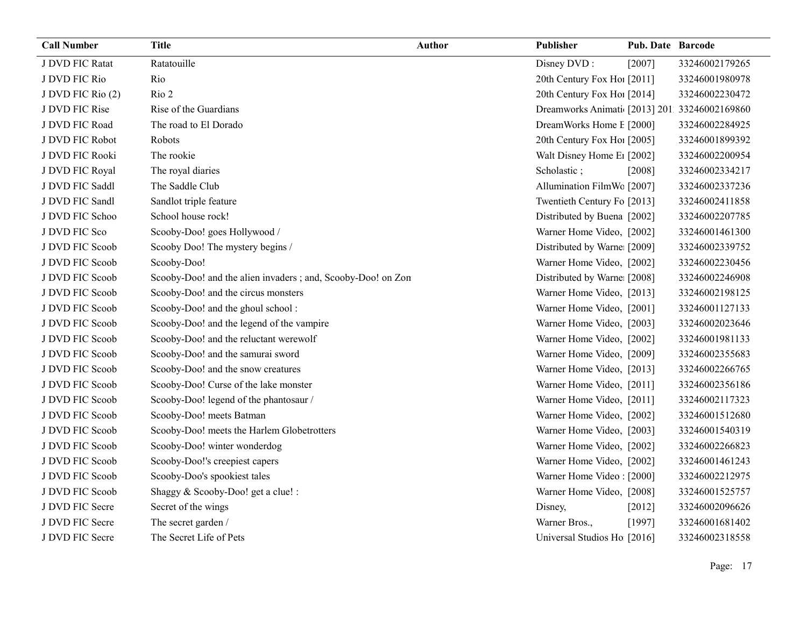| <b>Call Number</b> | <b>Title</b>                                                 | <b>Author</b> | Publisher                                    | Pub. Date Barcode |                |
|--------------------|--------------------------------------------------------------|---------------|----------------------------------------------|-------------------|----------------|
| J DVD FIC Ratat    | Ratatouille                                                  |               | Disney DVD:                                  | [2007]            | 33246002179265 |
| J DVD FIC Rio      | Rio                                                          |               | 20th Century Fox Hol [2011]                  |                   | 33246001980978 |
| J DVD FIC Rio (2)  | Rio 2                                                        |               | 20th Century Fox Ho! [2014]                  |                   | 33246002230472 |
| J DVD FIC Rise     | Rise of the Guardians                                        |               | Dreamworks Animati [2013] 201 33246002169860 |                   |                |
| J DVD FIC Road     | The road to El Dorado                                        |               | DreamWorks Home E [2000]                     |                   | 33246002284925 |
| J DVD FIC Robot    | Robots                                                       |               | 20th Century Fox Hol [2005]                  |                   | 33246001899392 |
| J DVD FIC Rooki    | The rookie                                                   |               | Walt Disney Home E1 [2002]                   |                   | 33246002200954 |
| J DVD FIC Royal    | The royal diaries                                            |               | Scholastic;                                  | [2008]            | 33246002334217 |
| J DVD FIC Saddl    | The Saddle Club                                              |               | Allumination FilmWc [2007]                   |                   | 33246002337236 |
| J DVD FIC Sandl    | Sandlot triple feature                                       |               | Twentieth Century Fo [2013]                  |                   | 33246002411858 |
| J DVD FIC Schoo    | School house rock!                                           |               | Distributed by Buena [2002]                  |                   | 33246002207785 |
| J DVD FIC Sco      | Scooby-Doo! goes Hollywood /                                 |               | Warner Home Video, [2002]                    |                   | 33246001461300 |
| J DVD FIC Scoob    | Scooby Doo! The mystery begins /                             |               | Distributed by Warne [2009]                  |                   | 33246002339752 |
| J DVD FIC Scoob    | Scooby-Doo!                                                  |               | Warner Home Video, [2002]                    |                   | 33246002230456 |
| J DVD FIC Scoob    | Scooby-Doo! and the alien invaders ; and, Scooby-Doo! on Zon |               | Distributed by Warne [2008]                  |                   | 33246002246908 |
| J DVD FIC Scoob    | Scooby-Doo! and the circus monsters                          |               | Warner Home Video, [2013]                    |                   | 33246002198125 |
| J DVD FIC Scoob    | Scooby-Doo! and the ghoul school:                            |               | Warner Home Video, [2001]                    |                   | 33246001127133 |
| J DVD FIC Scoob    | Scooby-Doo! and the legend of the vampire                    |               | Warner Home Video, [2003]                    |                   | 33246002023646 |
| J DVD FIC Scoob    | Scooby-Doo! and the reluctant werewolf                       |               | Warner Home Video, [2002]                    |                   | 33246001981133 |
| J DVD FIC Scoob    | Scooby-Doo! and the samurai sword                            |               | Warner Home Video, [2009]                    |                   | 33246002355683 |
| J DVD FIC Scoob    | Scooby-Doo! and the snow creatures                           |               | Warner Home Video, [2013]                    |                   | 33246002266765 |
| J DVD FIC Scoob    | Scooby-Doo! Curse of the lake monster                        |               | Warner Home Video, [2011]                    |                   | 33246002356186 |
| J DVD FIC Scoob    | Scooby-Doo! legend of the phantosaur /                       |               | Warner Home Video, [2011]                    |                   | 33246002117323 |
| J DVD FIC Scoob    | Scooby-Doo! meets Batman                                     |               | Warner Home Video, [2002]                    |                   | 33246001512680 |
| J DVD FIC Scoob    | Scooby-Doo! meets the Harlem Globetrotters                   |               | Warner Home Video, [2003]                    |                   | 33246001540319 |
| J DVD FIC Scoob    | Scooby-Doo! winter wonderdog                                 |               | Warner Home Video, [2002]                    |                   | 33246002266823 |
| J DVD FIC Scoob    | Scooby-Doo!'s creepiest capers                               |               | Warner Home Video, [2002]                    |                   | 33246001461243 |
| J DVD FIC Scoob    | Scooby-Doo's spookiest tales                                 |               | Warner Home Video: [2000]                    |                   | 33246002212975 |
| J DVD FIC Scoob    | Shaggy & Scooby-Doo! get a clue! :                           |               | Warner Home Video, [2008]                    |                   | 33246001525757 |
| J DVD FIC Secre    | Secret of the wings                                          |               | Disney,                                      | $[2012]$          | 33246002096626 |
| J DVD FIC Secre    | The secret garden /                                          |               | Warner Bros.,                                | [1997]            | 33246001681402 |
| J DVD FIC Secre    | The Secret Life of Pets                                      |               | Universal Studios Ho [2016]                  |                   | 33246002318558 |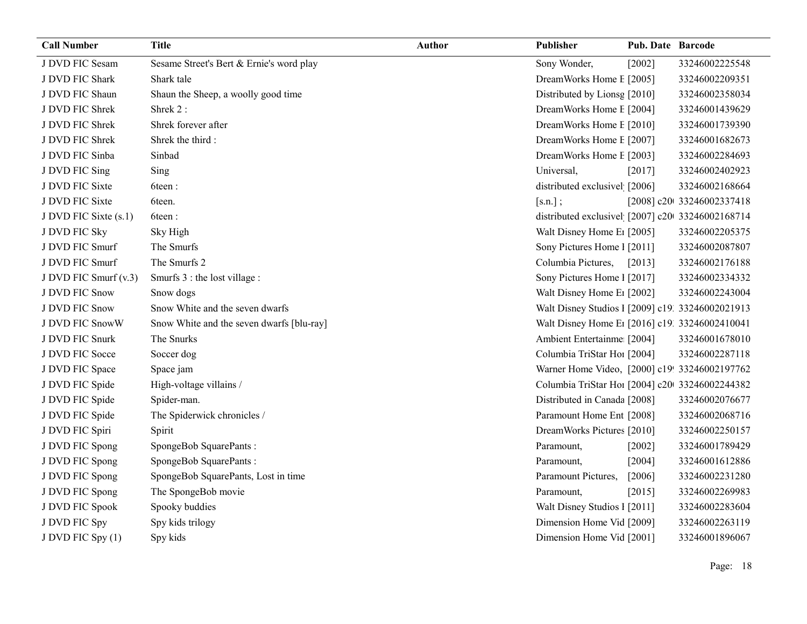| <b>Call Number</b>    | <b>Title</b>                              | <b>Author</b> | Publisher                                        | <b>Pub. Date Barcode</b> |                           |
|-----------------------|-------------------------------------------|---------------|--------------------------------------------------|--------------------------|---------------------------|
| J DVD FIC Sesam       | Sesame Street's Bert & Ernie's word play  |               | Sony Wonder,                                     | [2002]                   | 33246002225548            |
| J DVD FIC Shark       | Shark tale                                |               | DreamWorks Home E [2005]                         |                          | 33246002209351            |
| J DVD FIC Shaun       | Shaun the Sheep, a woolly good time       |               | Distributed by Lionsg [2010]                     |                          | 33246002358034            |
| J DVD FIC Shrek       | Shrek 2:                                  |               | DreamWorks Home E [2004]                         |                          | 33246001439629            |
| J DVD FIC Shrek       | Shrek forever after                       |               | DreamWorks Home E [2010]                         |                          | 33246001739390            |
| J DVD FIC Shrek       | Shrek the third:                          |               | DreamWorks Home E [2007]                         |                          | 33246001682673            |
| J DVD FIC Sinba       | Sinbad                                    |               | DreamWorks Home E [2003]                         |                          | 33246002284693            |
| J DVD FIC Sing        | Sing                                      |               | Universal,                                       | [2017]                   | 33246002402923            |
| J DVD FIC Sixte       | 6teen:                                    |               | distributed exclusivel [2006]                    |                          | 33246002168664            |
| J DVD FIC Sixte       | 6teen.                                    |               | $[s.n.]$ ;                                       |                          | [2008] c20 33246002337418 |
| J DVD FIC Sixte (s.1) | 6teen:                                    |               | distributed exclusivel [2007] c20 33246002168714 |                          |                           |
| J DVD FIC Sky         | Sky High                                  |               | Walt Disney Home E1 [2005]                       |                          | 33246002205375            |
| J DVD FIC Smurf       | The Smurfs                                |               | Sony Pictures Home 1 [2011]                      |                          | 33246002087807            |
| J DVD FIC Smurf       | The Smurfs 2                              |               | Columbia Pictures,                               | [2013]                   | 33246002176188            |
| J DVD FIC Smurf (v.3) | Smurfs 3 : the lost village :             |               | Sony Pictures Home 1 [2017]                      |                          | 33246002334332            |
| J DVD FIC Snow        | Snow dogs                                 |               | Walt Disney Home E1 [2002]                       |                          | 33246002243004            |
| J DVD FIC Snow        | Snow White and the seven dwarfs           |               | Walt Disney Studios I [2009] c19. 33246002021913 |                          |                           |
| J DVD FIC SnowW       | Snow White and the seven dwarfs [blu-ray] |               | Walt Disney Home E1 [2016] c19. 33246002410041   |                          |                           |
| J DVD FIC Snurk       | The Snurks                                |               | Ambient Entertainme [2004]                       |                          | 33246001678010            |
| J DVD FIC Socce       | Soccer dog                                |               | Columbia TriStar Hoi [2004]                      |                          | 33246002287118            |
| J DVD FIC Space       | Space jam                                 |               | Warner Home Video, [2000] c19! 33246002197762    |                          |                           |
| J DVD FIC Spide       | High-voltage villains /                   |               | Columbia TriStar Ho1 [2004] c20 33246002244382   |                          |                           |
| J DVD FIC Spide       | Spider-man.                               |               | Distributed in Canada [2008]                     |                          | 33246002076677            |
| J DVD FIC Spide       | The Spiderwick chronicles /               |               | Paramount Home Ent [2008]                        |                          | 33246002068716            |
| J DVD FIC Spiri       | Spirit                                    |               | DreamWorks Pictures [2010]                       |                          | 33246002250157            |
| J DVD FIC Spong       | SpongeBob SquarePants:                    |               | Paramount,                                       | $[2002]$                 | 33246001789429            |
| J DVD FIC Spong       | SpongeBob SquarePants:                    |               | Paramount,                                       | [2004]                   | 33246001612886            |
| J DVD FIC Spong       | SpongeBob SquarePants, Lost in time       |               | Paramount Pictures,                              | [2006]                   | 33246002231280            |
| J DVD FIC Spong       | The SpongeBob movie                       |               | Paramount,                                       | [2015]                   | 33246002269983            |
| J DVD FIC Spook       | Spooky buddies                            |               | Walt Disney Studios 1 [2011]                     |                          | 33246002283604            |
| J DVD FIC Spy         | Spy kids trilogy                          |               | Dimension Home Vid [2009]                        |                          | 33246002263119            |
| J DVD FIC Spy (1)     | Spy kids                                  |               | Dimension Home Vid [2001]                        |                          | 33246001896067            |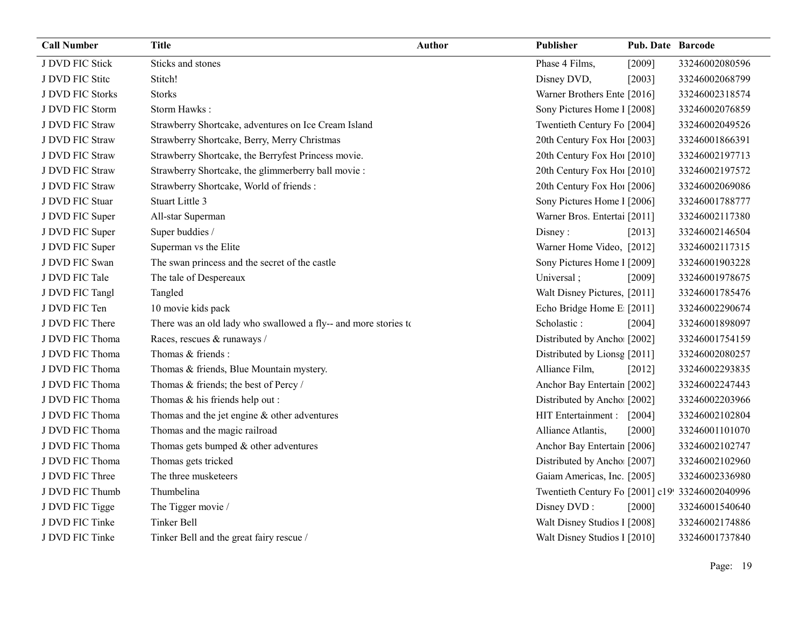| <b>Call Number</b> | <b>Title</b>                                                    | <b>Author</b> | <b>Publisher</b>                                | <b>Pub. Date Barcode</b> |                |
|--------------------|-----------------------------------------------------------------|---------------|-------------------------------------------------|--------------------------|----------------|
| J DVD FIC Stick    | Sticks and stones                                               |               | Phase 4 Films,                                  | $[2009]$                 | 33246002080596 |
| J DVD FIC Stite    | Stitch!                                                         |               | Disney DVD,                                     | [2003]                   | 33246002068799 |
| J DVD FIC Storks   | <b>Storks</b>                                                   |               | Warner Brothers Ente [2016]                     |                          | 33246002318574 |
| J DVD FIC Storm    | Storm Hawks:                                                    |               | Sony Pictures Home 1 [2008]                     |                          | 33246002076859 |
| J DVD FIC Straw    | Strawberry Shortcake, adventures on Ice Cream Island            |               | Twentieth Century Fo [2004]                     |                          | 33246002049526 |
| J DVD FIC Straw    | Strawberry Shortcake, Berry, Merry Christmas                    |               | 20th Century Fox Ho! [2003]                     |                          | 33246001866391 |
| J DVD FIC Straw    | Strawberry Shortcake, the Berryfest Princess movie.             |               | 20th Century Fox Ho! [2010]                     |                          | 33246002197713 |
| J DVD FIC Straw    | Strawberry Shortcake, the glimmerberry ball movie :             |               | 20th Century Fox Ho! [2010]                     |                          | 33246002197572 |
| J DVD FIC Straw    | Strawberry Shortcake, World of friends :                        |               | 20th Century Fox Hol [2006]                     |                          | 33246002069086 |
| J DVD FIC Stuar    | Stuart Little 3                                                 |               | Sony Pictures Home 1 [2006]                     |                          | 33246001788777 |
| J DVD FIC Super    | All-star Superman                                               |               | Warner Bros. Entertai [2011]                    |                          | 33246002117380 |
| J DVD FIC Super    | Super buddies /                                                 |               | Disney:                                         | [2013]                   | 33246002146504 |
| J DVD FIC Super    | Superman vs the Elite                                           |               | Warner Home Video, [2012]                       |                          | 33246002117315 |
| J DVD FIC Swan     | The swan princess and the secret of the castle                  |               | Sony Pictures Home 1 [2009]                     |                          | 33246001903228 |
| J DVD FIC Tale     | The tale of Despereaux                                          |               | Universal;                                      | [2009]                   | 33246001978675 |
| J DVD FIC Tangl    | Tangled                                                         |               | Walt Disney Pictures, [2011]                    |                          | 33246001785476 |
| J DVD FIC Ten      | 10 movie kids pack                                              |               | Echo Bridge Home E [2011]                       |                          | 33246002290674 |
| J DVD FIC There    | There was an old lady who swallowed a fly-- and more stories to |               | Scholastic:                                     | [2004]                   | 33246001898097 |
| J DVD FIC Thoma    | Races, rescues & runaways /                                     |               | Distributed by Ancho [2002]                     |                          | 33246001754159 |
| J DVD FIC Thoma    | Thomas & friends :                                              |               | Distributed by Lionsg [2011]                    |                          | 33246002080257 |
| J DVD FIC Thoma    | Thomas & friends, Blue Mountain mystery.                        |               | Alliance Film,                                  | $[2012]$                 | 33246002293835 |
| J DVD FIC Thoma    | Thomas & friends; the best of Percy /                           |               | Anchor Bay Entertain [2002]                     |                          | 33246002247443 |
| J DVD FIC Thoma    | Thomas & his friends help out:                                  |               | Distributed by Ancho [2002]                     |                          | 33246002203966 |
| J DVD FIC Thoma    | Thomas and the jet engine $&$ other adventures                  |               | HIT Entertainment : [2004]                      |                          | 33246002102804 |
| J DVD FIC Thoma    | Thomas and the magic railroad                                   |               | Alliance Atlantis,                              | [2000]                   | 33246001101070 |
| J DVD FIC Thoma    | Thomas gets bumped $&$ other adventures                         |               | Anchor Bay Entertain [2006]                     |                          | 33246002102747 |
| J DVD FIC Thoma    | Thomas gets tricked                                             |               | Distributed by Ancho [2007]                     |                          | 33246002102960 |
| J DVD FIC Three    | The three musketeers                                            |               | Gaiam Americas, Inc. [2005]                     |                          | 33246002336980 |
| J DVD FIC Thumb    | Thumbelina                                                      |               | Twentieth Century Fo [2001] c19! 33246002040996 |                          |                |
| J DVD FIC Tigge    | The Tigger movie /                                              |               | Disney DVD:                                     | $[2000]$                 | 33246001540640 |
| J DVD FIC Tinke    | <b>Tinker Bell</b>                                              |               | Walt Disney Studios 1 [2008]                    |                          | 33246002174886 |
| J DVD FIC Tinke    | Tinker Bell and the great fairy rescue /                        |               | Walt Disney Studios 1 [2010]                    |                          | 33246001737840 |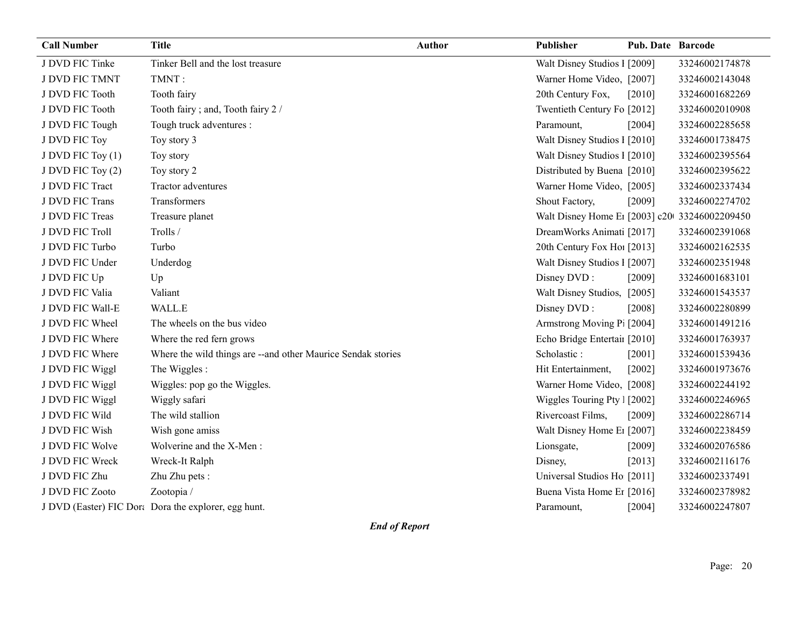| J DVD FIC Tinke<br>Tinker Bell and the lost treasure<br>Walt Disney Studios 1 [2009]                        | 33246002174878 |
|-------------------------------------------------------------------------------------------------------------|----------------|
|                                                                                                             |                |
| J DVD FIC TMNT<br>TMNT:<br>Warner Home Video, [2007]<br>33246002143048                                      |                |
| J DVD FIC Tooth<br>20th Century Fox,<br>Tooth fairy<br>$[2010]$                                             | 33246001682269 |
| J DVD FIC Tooth<br>Tooth fairy; and, Tooth fairy 2 /<br>Twentieth Century Fo [2012]                         | 33246002010908 |
| Tough truck adventures :<br>J DVD FIC Tough<br>Paramount,<br>$[2004]$                                       | 33246002285658 |
| Walt Disney Studios 1 [2010]<br>J DVD FIC Toy<br>Toy story 3                                                | 33246001738475 |
| J DVD FIC Toy (1)<br>Walt Disney Studios 1 [2010]<br>Toy story                                              | 33246002395564 |
| Distributed by Buena [2010]<br>J DVD FIC Toy (2)<br>Toy story 2                                             | 33246002395622 |
| J DVD FIC Tract<br>Tractor adventures<br>Warner Home Video, [2005]                                          | 33246002337434 |
| Transformers<br>J DVD FIC Trans<br>Shout Factory,<br>$[2009]$                                               | 33246002274702 |
| J DVD FIC Treas<br>Walt Disney Home E1 [2003] c20 33246002209450<br>Treasure planet                         |                |
| J DVD FIC Troll<br>Trolls /<br>DreamWorks Animati [2017]                                                    | 33246002391068 |
| 20th Century Fox Ho! [2013]<br>J DVD FIC Turbo<br>Turbo                                                     | 33246002162535 |
| J DVD FIC Under<br>Walt Disney Studios I [2007]<br>Underdog                                                 | 33246002351948 |
| J DVD FIC Up<br>Disney DVD:<br>Up<br>[2009]                                                                 | 33246001683101 |
| Valiant<br>J DVD FIC Valia<br>Walt Disney Studios, [2005]                                                   | 33246001543537 |
| WALL.E<br>Disney DVD:<br>J DVD FIC Wall-E<br>[2008]                                                         | 33246002280899 |
| J DVD FIC Wheel<br>The wheels on the bus video<br>Armstrong Moving P: [2004]                                | 33246001491216 |
| J DVD FIC Where<br>Where the red fern grows<br>Echo Bridge Entertaiı [2010]                                 | 33246001763937 |
| J DVD FIC Where<br>Where the wild things are -- and other Maurice Sendak stories<br>Scholastic:<br>$[2001]$ | 33246001539436 |
| J DVD FIC Wiggl<br>The Wiggles:<br>Hit Entertainment,<br>$[2002]$                                           | 33246001973676 |
| J DVD FIC Wiggl<br>Warner Home Video, [2008]<br>Wiggles: pop go the Wiggles.                                | 33246002244192 |
| J DVD FIC Wiggl<br>Wiggly safari<br>Wiggles Touring Pty   [2002]                                            | 33246002246965 |
| J DVD FIC Wild<br>The wild stallion<br>Rivercoast Films,<br>[2009]                                          | 33246002286714 |
| J DVD FIC Wish<br>Wish gone amiss<br>Walt Disney Home E1 [2007]                                             | 33246002238459 |
| Wolverine and the X-Men:<br>J DVD FIC Wolve<br>Lionsgate,<br>$[2009]$                                       | 33246002076586 |
| J DVD FIC Wreck<br>Wreck-It Ralph<br>[2013]<br>Disney,                                                      | 33246002116176 |
| J DVD FIC Zhu<br>Zhu Zhu pets:<br>Universal Studios Ho [2011]                                               | 33246002337491 |
| J DVD FIC Zooto<br>Zootopia /<br>Buena Vista Home Et [2016]                                                 | 33246002378982 |
| J DVD (Easter) FIC Dora Dora the explorer, egg hunt.<br>$[2004]$<br>Paramount,                              | 33246002247807 |

End of Report